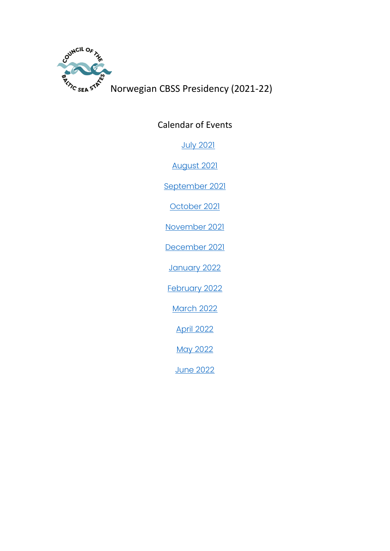

Norwegian CBSS Presidency (2021-22)

<span id="page-0-0"></span>Calendar of Events

[July 2021](#page-1-0)

[August 2021](#page-2-0)

[September 2021](#page-4-0)

[October 2021](#page-11-0)

[November 2021](#page-16-0)

[December 2021](#page-19-0)

[January 2022](#page-22-0)

[February 2022](#page-24-0)

[March 2022](#page-26-0)

[April 2022](#page-31-0)

[May 2022](#page-33-0)

[June 2022](#page-35-0)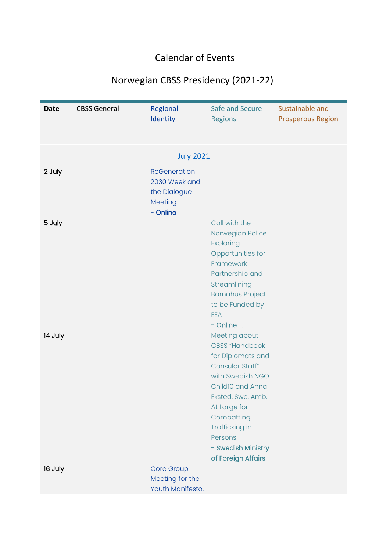## Calendar of Events

## Norwegian CBSS Presidency (2021-22)

<span id="page-1-0"></span>

| <b>Date</b> | <b>CBSS General</b> | Regional<br>Identity                                                        | Safe and Secure<br><b>Regions</b>                                                                                                                                                                                                                  | Sustainable and<br><b>Prosperous Region</b> |
|-------------|---------------------|-----------------------------------------------------------------------------|----------------------------------------------------------------------------------------------------------------------------------------------------------------------------------------------------------------------------------------------------|---------------------------------------------|
|             |                     |                                                                             |                                                                                                                                                                                                                                                    |                                             |
|             |                     | <b>July 2021</b>                                                            |                                                                                                                                                                                                                                                    |                                             |
| 2 July      |                     | <b>ReGeneration</b><br>2030 Week and<br>the Dialogue<br>Meeting<br>- Online |                                                                                                                                                                                                                                                    |                                             |
| 5 July      |                     |                                                                             | Call with the<br>Norwegian Police<br><b>Exploring</b><br>Opportunities for<br>Framework<br>Partnership and<br>Streamlining<br><b>Barnahus Project</b><br>to be Funded by<br>EEA<br>- Online                                                        |                                             |
| 14 July     |                     |                                                                             | Meeting about<br><b>CBSS</b> "Handbook<br>for Diplomats and<br>Consular Staff"<br>with Swedish NGO<br>Child10 and Anna<br>Eksted, Swe. Amb.<br>At Large for<br>Combatting<br>Trafficking in<br>Persons<br>- Swedish Ministry<br>of Foreign Affairs |                                             |
| 16 July     |                     | Core Group<br>Meeting for the<br>Youth Manifesto,                           |                                                                                                                                                                                                                                                    |                                             |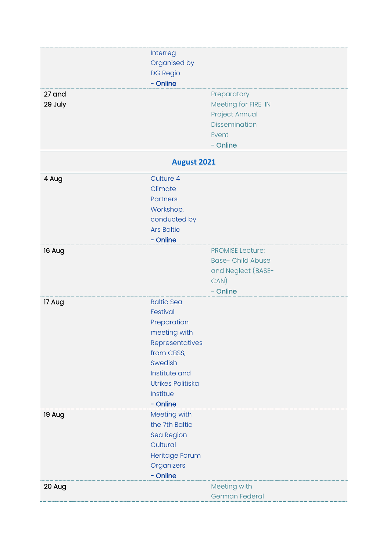<span id="page-2-0"></span>

| 27 and  | Interreg<br>Organised by<br><b>DG Regio</b><br>- Online | Preparatory                   |
|---------|---------------------------------------------------------|-------------------------------|
| 29 July |                                                         | Meeting for FIRE-IN           |
|         |                                                         | Project Annual                |
|         |                                                         | <b>Dissemination</b><br>Event |
|         |                                                         | - Online                      |
|         | <b>August 2021</b>                                      |                               |
| 4 Aug   | Culture 4                                               |                               |
|         | Climate                                                 |                               |
|         | <b>Partners</b>                                         |                               |
|         | Workshop,                                               |                               |
|         | conducted by                                            |                               |
|         | <b>Ars Baltic</b>                                       |                               |
|         | - Online                                                |                               |
| 16 Aug  |                                                         | <b>PROMISE Lecture:</b>       |
|         |                                                         | <b>Base- Child Abuse</b>      |
|         |                                                         | and Neglect (BASE-<br>CAN)    |
|         |                                                         | - Online                      |
| 17 Aug  | <b>Baltic Sea</b>                                       |                               |
|         | Festival                                                |                               |
|         | Preparation                                             |                               |
|         | meeting with                                            |                               |
|         | Representatives                                         |                               |
|         | from CBSS,                                              |                               |
|         | Swedish                                                 |                               |
|         | Institute and                                           |                               |
|         | <b>Utrikes Politiska</b>                                |                               |
|         | Institue                                                |                               |
|         | - Online                                                |                               |
| 19 Aug  | Meeting with<br>the 7th Baltic                          |                               |
|         | Sea Region                                              |                               |
|         | Cultural                                                |                               |
|         | Heritage Forum                                          |                               |
|         | Organizers                                              |                               |
|         | - Online                                                |                               |
| 20 Aug  |                                                         | Meeting with                  |
|         |                                                         | German Federal                |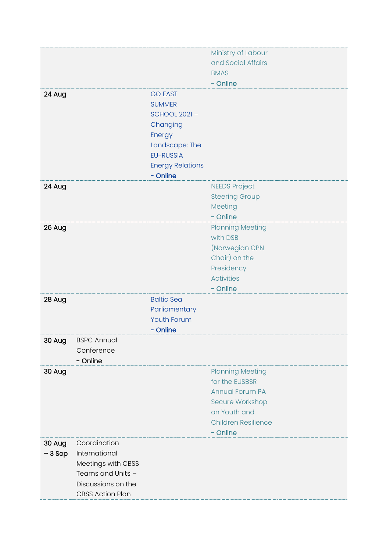|          |                         |                         | Ministry of Labour              |
|----------|-------------------------|-------------------------|---------------------------------|
|          |                         |                         | and Social Affairs              |
|          |                         |                         | <b>BMAS</b>                     |
|          |                         |                         | - Online                        |
| 24 Aug   |                         | <b>GO EAST</b>          |                                 |
|          |                         | <b>SUMMER</b>           |                                 |
|          |                         | <b>SCHOOL 2021-</b>     |                                 |
|          |                         | Changing                |                                 |
|          |                         | Energy                  |                                 |
|          |                         | Landscape: The          |                                 |
|          |                         | <b>EU-RUSSIA</b>        |                                 |
|          |                         | <b>Energy Relations</b> |                                 |
|          |                         | - Online                |                                 |
| 24 Aug   |                         |                         | <b>NEEDS Project</b>            |
|          |                         |                         | <b>Steering Group</b>           |
|          |                         |                         | Meeting                         |
|          |                         |                         | - Online                        |
| 26 Aug   |                         |                         | <b>Planning Meeting</b>         |
|          |                         |                         | with DSB                        |
|          |                         |                         | (Norwegian CPN                  |
|          |                         |                         | Chair) on the                   |
|          |                         |                         | Presidency<br><b>Activities</b> |
|          |                         |                         | - Online                        |
| 28 Aug   |                         | <b>Baltic Sea</b>       |                                 |
|          |                         | Parliamentary           |                                 |
|          |                         | <b>Youth Forum</b>      |                                 |
|          |                         | - Online                |                                 |
| 30 Aug   | <b>BSPC Annual</b>      |                         |                                 |
|          | Conference              |                         |                                 |
|          | - Online                |                         |                                 |
| 30 Aug   |                         |                         | <b>Planning Meeting</b>         |
|          |                         |                         | for the EUSBSR                  |
|          |                         |                         | <b>Annual Forum PA</b>          |
|          |                         |                         | Secure Workshop                 |
|          |                         |                         | on Youth and                    |
|          |                         |                         | <b>Children Resilience</b>      |
|          |                         |                         | - Online                        |
| 30 Aug   | Coordination            |                         |                                 |
| $-3$ Sep | International           |                         |                                 |
|          | Meetings with CBSS      |                         |                                 |
|          | Teams and Units -       |                         |                                 |
|          | Discussions on the      |                         |                                 |
|          | <b>CBSS Action Plan</b> |                         |                                 |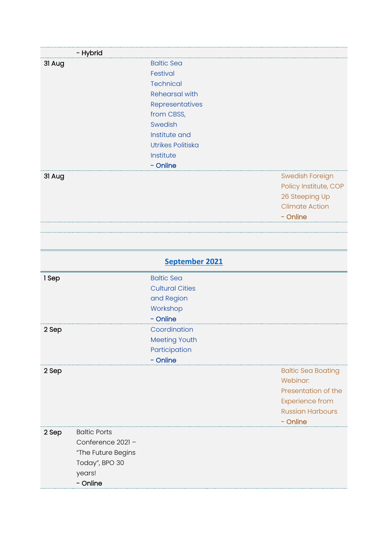<span id="page-4-0"></span>

|        | - Hybrid            |                          |                           |
|--------|---------------------|--------------------------|---------------------------|
| 31 Aug |                     | <b>Baltic Sea</b>        |                           |
|        |                     | Festival                 |                           |
|        |                     | <b>Technical</b>         |                           |
|        |                     | <b>Rehearsal with</b>    |                           |
|        |                     | Representatives          |                           |
|        |                     | from CBSS,               |                           |
|        |                     | Swedish                  |                           |
|        |                     | Institute and            |                           |
|        |                     | <b>Utrikes Politiska</b> |                           |
|        |                     | Institute                |                           |
|        |                     | - Online                 |                           |
| 31 Aug |                     |                          | <b>Swedish Foreign</b>    |
|        |                     |                          | Policy Institute, COP     |
|        |                     |                          | 26 Steeping Up            |
|        |                     |                          | <b>Climate Action</b>     |
|        |                     |                          | - Online                  |
|        |                     |                          |                           |
|        |                     |                          |                           |
|        |                     |                          |                           |
|        |                     | September 2021           |                           |
| 1 Sep  |                     | <b>Baltic Sea</b>        |                           |
|        |                     | <b>Cultural Cities</b>   |                           |
|        |                     | and Region               |                           |
|        |                     | Workshop                 |                           |
|        |                     |                          |                           |
|        |                     | - Online                 |                           |
| 2 Sep  |                     | Coordination             |                           |
|        |                     | Meeting Youth            |                           |
|        |                     | Participation            |                           |
|        |                     | - Online                 |                           |
| 2 Sep  |                     |                          | <b>Baltic Sea Boating</b> |
|        |                     |                          | Webinar:                  |
|        |                     |                          | Presentation of the       |
|        |                     |                          | <b>Experience from</b>    |
|        |                     |                          | <b>Russian Harbours</b>   |
|        |                     |                          | - Online                  |
| 2 Sep  | <b>Baltic Ports</b> |                          |                           |
|        | Conference 2021-    |                          |                           |
|        | "The Future Begins  |                          |                           |
|        | Today", BPO 30      |                          |                           |
|        | years!              |                          |                           |
|        | - Online            |                          |                           |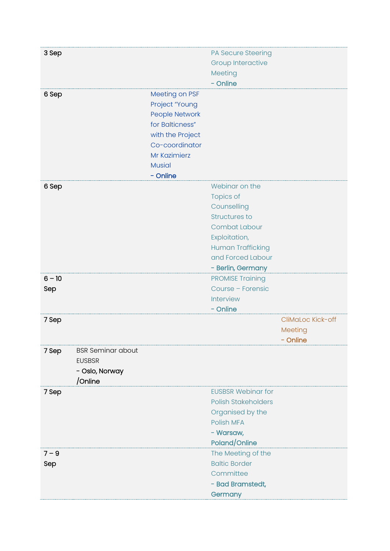| 3 Sep    |                          |                       | PA Secure Steering         |                   |
|----------|--------------------------|-----------------------|----------------------------|-------------------|
|          |                          |                       | <b>Group Interactive</b>   |                   |
|          |                          |                       | Meeting                    |                   |
|          |                          |                       | - Online                   |                   |
| 6 Sep    |                          | Meeting on PSF        |                            |                   |
|          |                          | Project "Young        |                            |                   |
|          |                          | <b>People Network</b> |                            |                   |
|          |                          | for Balticness"       |                            |                   |
|          |                          | with the Project      |                            |                   |
|          |                          | Co-coordinator        |                            |                   |
|          |                          | Mr Kazimierz          |                            |                   |
|          |                          | <b>Musial</b>         |                            |                   |
|          |                          | - Online              |                            |                   |
| 6 Sep    |                          |                       | Webinar on the             |                   |
|          |                          |                       | <b>Topics of</b>           |                   |
|          |                          |                       | Counselling                |                   |
|          |                          |                       | <b>Structures to</b>       |                   |
|          |                          |                       | <b>Combat Labour</b>       |                   |
|          |                          |                       | Exploitation,              |                   |
|          |                          |                       | <b>Human Trafficking</b>   |                   |
|          |                          |                       | and Forced Labour          |                   |
|          |                          |                       | - Berlin, Germany          |                   |
| $6 - 10$ |                          |                       | <b>PROMISE Training</b>    |                   |
| Sep      |                          |                       | Course - Forensic          |                   |
|          |                          |                       | Interview                  |                   |
|          |                          |                       | - Online                   |                   |
| 7 Sep    |                          |                       |                            | CliMaLoc Kick-off |
|          |                          |                       |                            | Meeting           |
|          |                          |                       |                            | - Online          |
| 7 Sep    | <b>BSR Seminar about</b> |                       |                            |                   |
|          | <b>EUSBSR</b>            |                       |                            |                   |
|          | - Oslo, Norway           |                       |                            |                   |
|          | /Online                  |                       |                            |                   |
| 7 Sep    |                          |                       | <b>EUSBSR Webinar for</b>  |                   |
|          |                          |                       | <b>Polish Stakeholders</b> |                   |
|          |                          |                       | Organised by the           |                   |
|          |                          |                       | Polish MFA                 |                   |
|          |                          |                       | - Warsaw,                  |                   |
|          |                          |                       | Poland/Online              |                   |
| $7 - 9$  |                          |                       | The Meeting of the         |                   |
| Sep      |                          |                       | <b>Baltic Border</b>       |                   |
|          |                          |                       | Committee                  |                   |
|          |                          |                       | - Bad Bramstedt,           |                   |
|          |                          |                       | Germany                    |                   |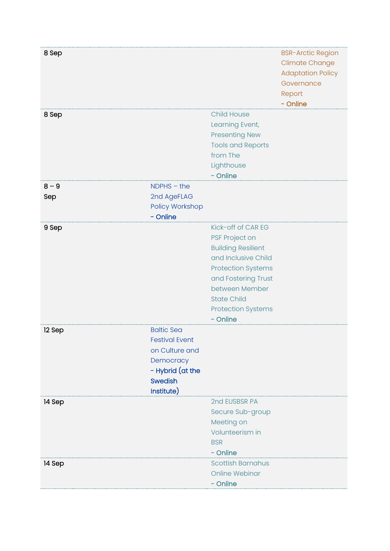| 8 Sep          |                                                                                                                               |                                                                                                                                                                                                                               | <b>BSR-Arctic Region</b><br><b>Climate Change</b><br><b>Adaptation Policy</b><br>Governance<br>Report<br>- Online |
|----------------|-------------------------------------------------------------------------------------------------------------------------------|-------------------------------------------------------------------------------------------------------------------------------------------------------------------------------------------------------------------------------|-------------------------------------------------------------------------------------------------------------------|
| 8 Sep          |                                                                                                                               | <b>Child House</b><br>Learning Event,<br><b>Presenting New</b><br><b>Tools and Reports</b><br>from The<br>Lighthouse<br>- Online                                                                                              |                                                                                                                   |
| $8 - 9$<br>Sep | $NDPHS - the$<br>2nd AgeFLAG<br>Policy Workshop<br>- Online                                                                   |                                                                                                                                                                                                                               |                                                                                                                   |
| 9 Sep          |                                                                                                                               | Kick-off of CAR EG<br>PSF Project on<br><b>Building Resilient</b><br>and Inclusive Child<br><b>Protection Systems</b><br>and Fostering Trust<br>between Member<br><b>State Child</b><br><b>Protection Systems</b><br>- Online |                                                                                                                   |
| 12 Sep         | <b>Baltic Sea</b><br><b>Festival Event</b><br>on Culture and<br>Democracy<br>- Hybrid (at the<br><b>Swedish</b><br>Institute) |                                                                                                                                                                                                                               |                                                                                                                   |
| 14 Sep         |                                                                                                                               | 2nd EUSBSR PA<br>Secure Sub-group<br>Meeting on<br>Volunteerism in<br><b>BSR</b><br>- Online                                                                                                                                  |                                                                                                                   |
| 14 Sep         |                                                                                                                               | <b>Scottish Barnahus</b><br><b>Online Webinar</b><br>- Online                                                                                                                                                                 |                                                                                                                   |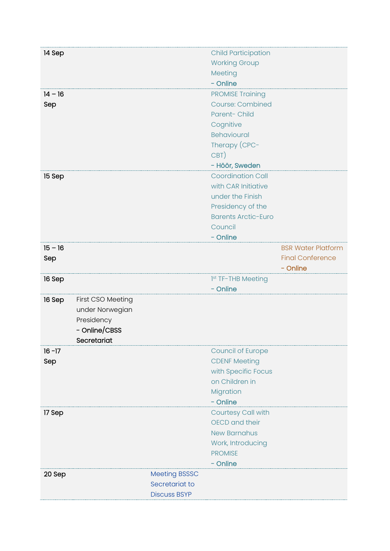| 14 Sep    |                   |                                       | <b>Child Participation</b> |                           |
|-----------|-------------------|---------------------------------------|----------------------------|---------------------------|
|           |                   |                                       | <b>Working Group</b>       |                           |
|           |                   |                                       | Meeting                    |                           |
|           |                   |                                       | - Online                   |                           |
| $14 - 16$ |                   |                                       | <b>PROMISE Training</b>    |                           |
| Sep       |                   |                                       | <b>Course: Combined</b>    |                           |
|           |                   |                                       | Parent-Child               |                           |
|           |                   |                                       | Cognitive                  |                           |
|           |                   |                                       | Behavioural                |                           |
|           |                   |                                       | Therapy (CPC-              |                           |
|           |                   |                                       | CBT)                       |                           |
|           |                   |                                       | - Höör, Sweden             |                           |
| 15 Sep    |                   |                                       | <b>Coordination Call</b>   |                           |
|           |                   |                                       | with CAR Initiative        |                           |
|           |                   |                                       | under the Finish           |                           |
|           |                   |                                       | Presidency of the          |                           |
|           |                   |                                       | <b>Barents Arctic-Euro</b> |                           |
|           |                   |                                       | Council                    |                           |
|           |                   |                                       | - Online                   |                           |
| $15 - 16$ |                   |                                       |                            | <b>BSR Water Platform</b> |
| Sep       |                   |                                       |                            | <b>Final Conference</b>   |
|           |                   |                                       |                            | - Online                  |
| 16 Sep    |                   |                                       | 1st TF-THB Meeting         |                           |
|           |                   |                                       | - Online                   |                           |
| 16 Sep    | First CSO Meeting |                                       |                            |                           |
|           |                   |                                       |                            |                           |
|           | under Norwegian   |                                       |                            |                           |
|           | Presidency        |                                       |                            |                           |
|           | - Online/CBSS     |                                       |                            |                           |
|           | Secretariat       |                                       |                            |                           |
| $16 - 17$ |                   |                                       | <b>Council of Europe</b>   |                           |
| Sep       |                   |                                       | <b>CDENF Meeting</b>       |                           |
|           |                   |                                       | with Specific Focus        |                           |
|           |                   |                                       | on Children in             |                           |
|           |                   |                                       | Migration                  |                           |
|           |                   |                                       | - Online                   |                           |
| 17 Sep    |                   |                                       | Courtesy Call with         |                           |
|           |                   |                                       | OECD and their             |                           |
|           |                   |                                       | <b>New Barnahus</b>        |                           |
|           |                   |                                       | Work, Introducing          |                           |
|           |                   |                                       | <b>PROMISE</b>             |                           |
|           |                   |                                       | - Online                   |                           |
| 20 Sep    |                   | <b>Meeting BSSSC</b>                  |                            |                           |
|           |                   | Secretariat to<br><b>Discuss BSYP</b> |                            |                           |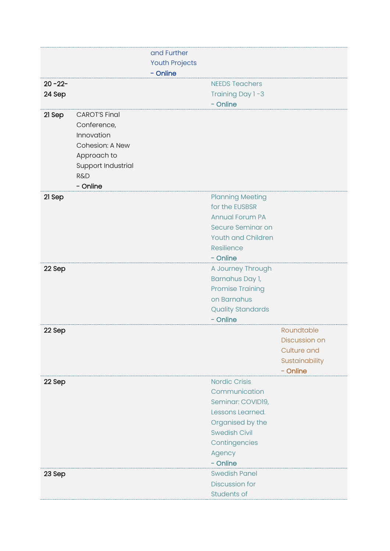|             |                      | and Further           |                           |                    |
|-------------|----------------------|-----------------------|---------------------------|--------------------|
|             |                      | <b>Youth Projects</b> |                           |                    |
|             |                      | - Online              |                           |                    |
| $20 - 22 -$ |                      |                       | <b>NEEDS Teachers</b>     |                    |
| 24 Sep      |                      |                       | Training Day 1-3          |                    |
|             |                      |                       | - Online                  |                    |
| 21 Sep      | <b>CAROT'S Final</b> |                       |                           |                    |
|             | Conference,          |                       |                           |                    |
|             | Innovation           |                       |                           |                    |
|             | Cohesion: A New      |                       |                           |                    |
|             | Approach to          |                       |                           |                    |
|             | Support Industrial   |                       |                           |                    |
|             | <b>R&amp;D</b>       |                       |                           |                    |
|             | - Online             |                       |                           |                    |
| 21 Sep      |                      |                       | <b>Planning Meeting</b>   |                    |
|             |                      |                       | for the EUSBSR            |                    |
|             |                      |                       | <b>Annual Forum PA</b>    |                    |
|             |                      |                       | Secure Seminar on         |                    |
|             |                      |                       | <b>Youth and Children</b> |                    |
|             |                      |                       | Resilience                |                    |
|             |                      |                       | - Online                  |                    |
| 22 Sep      |                      |                       | A Journey Through         |                    |
|             |                      |                       | Barnahus Day 1,           |                    |
|             |                      |                       | <b>Promise Training</b>   |                    |
|             |                      |                       | on Barnahus               |                    |
|             |                      |                       | <b>Quality Standards</b>  |                    |
|             |                      |                       | - Online                  |                    |
| 22 Sep      |                      |                       |                           | Roundtable         |
|             |                      |                       |                           | Discussion on      |
|             |                      |                       |                           | <b>Culture and</b> |
|             |                      |                       |                           | Sustainability     |
|             |                      |                       |                           | - Online           |
| 22 Sep      |                      |                       | <b>Nordic Crisis</b>      |                    |
|             |                      |                       | Communication             |                    |
|             |                      |                       | Seminar: COVID19,         |                    |
|             |                      |                       | Lessons Learned.          |                    |
|             |                      |                       | Organised by the          |                    |
|             |                      |                       | <b>Swedish Civil</b>      |                    |
|             |                      |                       | Contingencies             |                    |
|             |                      |                       | Agency                    |                    |
|             |                      |                       | - Online                  |                    |
| 23 Sep      |                      |                       | <b>Swedish Panel</b>      |                    |
|             |                      |                       | <b>Discussion for</b>     |                    |
|             |                      |                       | Students of               |                    |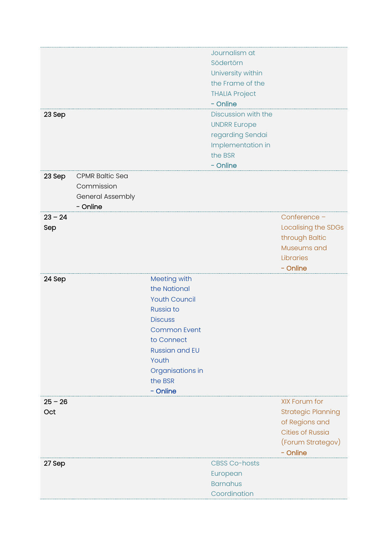|           |                        |                       | Journalism at         |                           |
|-----------|------------------------|-----------------------|-----------------------|---------------------------|
|           |                        |                       | Södertörn             |                           |
|           |                        |                       | University within     |                           |
|           |                        |                       | the Frame of the      |                           |
|           |                        |                       |                       |                           |
|           |                        |                       | <b>THALIA Project</b> |                           |
|           |                        |                       | - Online              |                           |
| 23 Sep    |                        |                       | Discussion with the   |                           |
|           |                        |                       | <b>UNDRR Europe</b>   |                           |
|           |                        |                       | regarding Sendai      |                           |
|           |                        |                       | Implementation in     |                           |
|           |                        |                       | the BSR               |                           |
|           |                        |                       |                       |                           |
|           |                        |                       | - Online              |                           |
| 23 Sep    | <b>CPMR Baltic Sea</b> |                       |                       |                           |
|           | Commission             |                       |                       |                           |
|           | General Assembly       |                       |                       |                           |
|           | - Online               |                       |                       |                           |
| $23 - 24$ |                        |                       |                       | Conference -              |
| Sep       |                        |                       |                       | Localising the SDGs       |
|           |                        |                       |                       | through Baltic            |
|           |                        |                       |                       | Museums and               |
|           |                        |                       |                       |                           |
|           |                        |                       |                       | Libraries                 |
|           |                        |                       |                       | - Online                  |
| 24 Sep    |                        | Meeting with          |                       |                           |
|           |                        | the National          |                       |                           |
|           |                        | <b>Youth Council</b>  |                       |                           |
|           |                        | Russia to             |                       |                           |
|           |                        | <b>Discuss</b>        |                       |                           |
|           |                        | <b>Common Event</b>   |                       |                           |
|           |                        | to Connect            |                       |                           |
|           |                        |                       |                       |                           |
|           |                        | <b>Russian and EU</b> |                       |                           |
|           |                        | Youth                 |                       |                           |
|           |                        | Organisations in      |                       |                           |
|           |                        | the BSR               |                       |                           |
|           |                        | - Online              |                       |                           |
| $25 - 26$ |                        |                       |                       | XIX Forum for             |
| Oct       |                        |                       |                       | <b>Strategic Planning</b> |
|           |                        |                       |                       | of Regions and            |
|           |                        |                       |                       | <b>Cities of Russia</b>   |
|           |                        |                       |                       |                           |
|           |                        |                       |                       | (Forum Strategov)         |
|           |                        |                       |                       | - Online                  |
| 27 Sep    |                        |                       | <b>CBSS Co-hosts</b>  |                           |
|           |                        |                       | European              |                           |
|           |                        |                       | <b>Barnahus</b>       |                           |
|           |                        |                       | Coordination          |                           |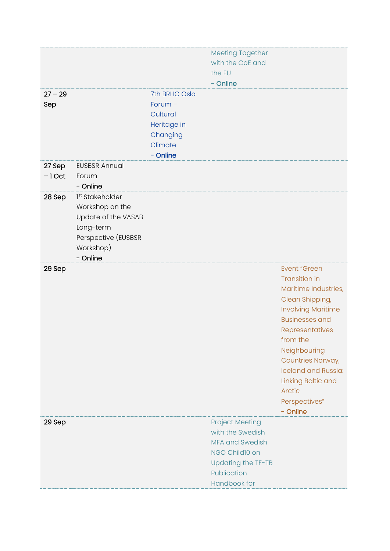| <b>Meeting Together</b><br>with the CoE and<br>the EU<br>- Online<br>$27 - 29$<br>7th BRHC Oslo<br>Forum $-$<br>Sep<br>Cultural<br>Heritage in<br>Changing<br>Climate<br>- Online<br>27 Sep<br><b>EUSBSR Annual</b><br>$-1$ Oct<br>Forum<br>- Online<br>1st Stakeholder<br>28 Sep<br>Workshop on the<br>Update of the VASAB<br>Long-term<br>Perspective (EUSBSR<br>Workshop)<br>- Online<br><b>Event "Green</b><br>29 Sep<br><b>Transition in</b> |
|---------------------------------------------------------------------------------------------------------------------------------------------------------------------------------------------------------------------------------------------------------------------------------------------------------------------------------------------------------------------------------------------------------------------------------------------------|
|                                                                                                                                                                                                                                                                                                                                                                                                                                                   |
|                                                                                                                                                                                                                                                                                                                                                                                                                                                   |
|                                                                                                                                                                                                                                                                                                                                                                                                                                                   |
|                                                                                                                                                                                                                                                                                                                                                                                                                                                   |
|                                                                                                                                                                                                                                                                                                                                                                                                                                                   |
|                                                                                                                                                                                                                                                                                                                                                                                                                                                   |
|                                                                                                                                                                                                                                                                                                                                                                                                                                                   |
|                                                                                                                                                                                                                                                                                                                                                                                                                                                   |
|                                                                                                                                                                                                                                                                                                                                                                                                                                                   |
|                                                                                                                                                                                                                                                                                                                                                                                                                                                   |
|                                                                                                                                                                                                                                                                                                                                                                                                                                                   |
|                                                                                                                                                                                                                                                                                                                                                                                                                                                   |
|                                                                                                                                                                                                                                                                                                                                                                                                                                                   |
|                                                                                                                                                                                                                                                                                                                                                                                                                                                   |
|                                                                                                                                                                                                                                                                                                                                                                                                                                                   |
|                                                                                                                                                                                                                                                                                                                                                                                                                                                   |
|                                                                                                                                                                                                                                                                                                                                                                                                                                                   |
|                                                                                                                                                                                                                                                                                                                                                                                                                                                   |
|                                                                                                                                                                                                                                                                                                                                                                                                                                                   |
|                                                                                                                                                                                                                                                                                                                                                                                                                                                   |
|                                                                                                                                                                                                                                                                                                                                                                                                                                                   |
|                                                                                                                                                                                                                                                                                                                                                                                                                                                   |
| Maritime Industries,                                                                                                                                                                                                                                                                                                                                                                                                                              |
| Clean Shipping,                                                                                                                                                                                                                                                                                                                                                                                                                                   |
| <b>Involving Maritime</b>                                                                                                                                                                                                                                                                                                                                                                                                                         |
| <b>Businesses and</b>                                                                                                                                                                                                                                                                                                                                                                                                                             |
| Representatives                                                                                                                                                                                                                                                                                                                                                                                                                                   |
| from the                                                                                                                                                                                                                                                                                                                                                                                                                                          |
| Neighbouring                                                                                                                                                                                                                                                                                                                                                                                                                                      |
| Countries Norway,                                                                                                                                                                                                                                                                                                                                                                                                                                 |
| <b>Iceland and Russia:</b>                                                                                                                                                                                                                                                                                                                                                                                                                        |
| Linking Baltic and                                                                                                                                                                                                                                                                                                                                                                                                                                |
| <b>Arctic</b>                                                                                                                                                                                                                                                                                                                                                                                                                                     |
| Perspectives"                                                                                                                                                                                                                                                                                                                                                                                                                                     |
| - Online<br><b>Project Meeting</b>                                                                                                                                                                                                                                                                                                                                                                                                                |
| 29 Sep<br>with the Swedish                                                                                                                                                                                                                                                                                                                                                                                                                        |
| <b>MFA and Swedish</b>                                                                                                                                                                                                                                                                                                                                                                                                                            |
| NGO Child10 on                                                                                                                                                                                                                                                                                                                                                                                                                                    |
| Updating the TF-TB                                                                                                                                                                                                                                                                                                                                                                                                                                |
| Publication                                                                                                                                                                                                                                                                                                                                                                                                                                       |
| Handbook for                                                                                                                                                                                                                                                                                                                                                                                                                                      |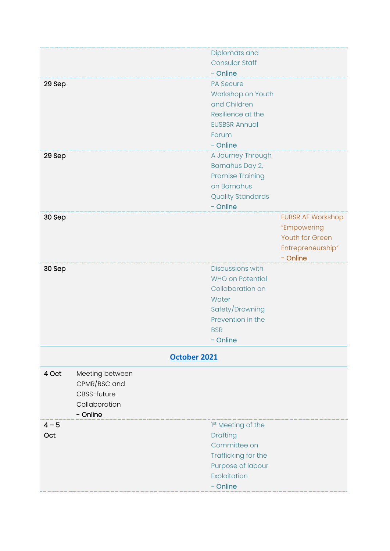<span id="page-11-0"></span>

|         |                 | Diplomats and                  |                          |
|---------|-----------------|--------------------------------|--------------------------|
|         |                 | <b>Consular Staff</b>          |                          |
|         |                 | - Online                       |                          |
| 29 Sep  |                 | <b>PA Secure</b>               |                          |
|         |                 | Workshop on Youth              |                          |
|         |                 | and Children                   |                          |
|         |                 | Resilience at the              |                          |
|         |                 | <b>EUSBSR Annual</b>           |                          |
|         |                 | Forum                          |                          |
|         |                 | - Online                       |                          |
| 29 Sep  |                 | A Journey Through              |                          |
|         |                 | Barnahus Day 2,                |                          |
|         |                 | <b>Promise Training</b>        |                          |
|         |                 | on Barnahus                    |                          |
|         |                 | <b>Quality Standards</b>       |                          |
|         |                 | - Online                       |                          |
| 30 Sep  |                 |                                | <b>EUBSR AF Workshop</b> |
|         |                 |                                | "Empowering              |
|         |                 |                                | Youth for Green          |
|         |                 |                                | Entrepreneurship"        |
|         |                 |                                | - Online                 |
| 30 Sep  |                 | <b>Discussions with</b>        |                          |
|         |                 | <b>WHO on Potential</b>        |                          |
|         |                 | Collaboration on               |                          |
|         |                 | Water                          |                          |
|         |                 | Safety/Drowning                |                          |
|         |                 | Prevention in the              |                          |
|         |                 | <b>BSR</b>                     |                          |
|         |                 | - Online                       |                          |
|         |                 |                                |                          |
|         |                 | October 2021                   |                          |
| 4 Oct   | Meeting between |                                |                          |
|         | CPMR/BSC and    |                                |                          |
|         | CBSS-future     |                                |                          |
|         | Collaboration   |                                |                          |
|         | - Online        |                                |                          |
| $4 - 5$ |                 | 1 <sup>st</sup> Meeting of the |                          |
| Oct     |                 | Drafting                       |                          |
|         |                 | Committee on                   |                          |
|         |                 | Trafficking for the            |                          |
|         |                 | Purpose of labour              |                          |
|         |                 | Exploitation                   |                          |
|         |                 | - Online                       |                          |
|         |                 |                                |                          |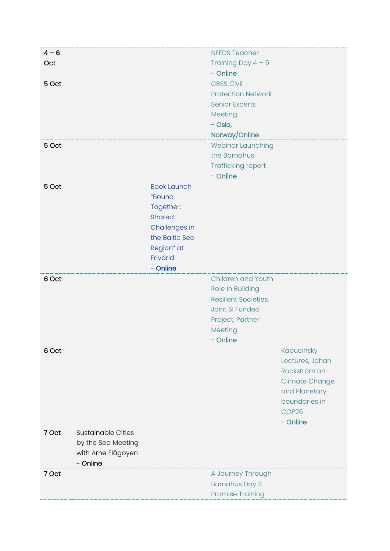| $4 - 6$ |                           |                    | <b>NEEDS Teacher</b>        |                       |
|---------|---------------------------|--------------------|-----------------------------|-----------------------|
| Oct     |                           |                    | Training Day $4 - 5$        |                       |
|         |                           |                    | - Online                    |                       |
| 5 Oct   |                           |                    | <b>CBSS Civil</b>           |                       |
|         |                           |                    | <b>Protection Network</b>   |                       |
|         |                           |                    | <b>Senior Experts</b>       |                       |
|         |                           |                    | Meeting                     |                       |
|         |                           |                    | - Oslo,                     |                       |
|         |                           |                    | Norway/Online               |                       |
| 5 Oct   |                           |                    | Webinar Launching           |                       |
|         |                           |                    | the Barnahus-               |                       |
|         |                           |                    | <b>Trafficking report</b>   |                       |
|         |                           |                    | - Online                    |                       |
| 5 Oct   |                           | <b>Book Launch</b> |                             |                       |
|         |                           | "Bound             |                             |                       |
|         |                           | Together:          |                             |                       |
|         |                           | <b>Shared</b>      |                             |                       |
|         |                           | Challenges in      |                             |                       |
|         |                           | the Baltic Sea     |                             |                       |
|         |                           | Region" at         |                             |                       |
|         |                           | Frivärld           |                             |                       |
|         |                           | - Online           | Children and Youth          |                       |
| 6 Oct   |                           |                    | Role in Building            |                       |
|         |                           |                    | <b>Resilient Societies,</b> |                       |
|         |                           |                    | Joint SI Funded             |                       |
|         |                           |                    | Project, Partner            |                       |
|         |                           |                    | Meeting                     |                       |
|         |                           |                    | - Online                    |                       |
| 6 Oct   |                           |                    |                             | Kapucinsky            |
|         |                           |                    |                             | Lectures, Johan       |
|         |                           |                    |                             | Rockström on          |
|         |                           |                    |                             | <b>Climate Change</b> |
|         |                           |                    |                             | and Planetary         |
|         |                           |                    |                             | boundaries in         |
|         |                           |                    |                             | COP26                 |
|         |                           |                    |                             | - Online              |
| 7 Oct   | <b>Sustainable Cities</b> |                    |                             |                       |
|         | by the Sea Meeting        |                    |                             |                       |
|         | with Arne Flågoyen        |                    |                             |                       |
|         | - Online                  |                    |                             |                       |
| 7 Oct   |                           |                    | A Journey Through           |                       |
|         |                           |                    | Barnahus Day 3.             |                       |
|         |                           |                    | <b>Promise Training</b>     |                       |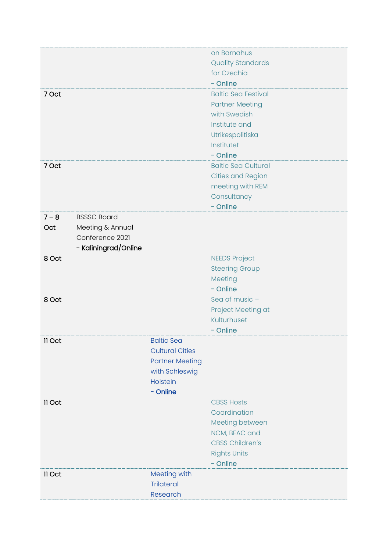|         |                      |                        | on Barnahus                |
|---------|----------------------|------------------------|----------------------------|
|         |                      |                        |                            |
|         |                      |                        | <b>Quality Standards</b>   |
|         |                      |                        | for Czechia                |
|         |                      |                        | - Online                   |
| 7 Oct   |                      |                        | <b>Baltic Sea Festival</b> |
|         |                      |                        | <b>Partner Meeting</b>     |
|         |                      |                        | with Swedish               |
|         |                      |                        | Institute and              |
|         |                      |                        | Utrikespolitiska           |
|         |                      |                        | Institutet                 |
|         |                      |                        | - Online                   |
| 7 Oct   |                      |                        | <b>Baltic Sea Cultural</b> |
|         |                      |                        | <b>Cities and Region</b>   |
|         |                      |                        | meeting with REM           |
|         |                      |                        | Consultancy                |
|         |                      |                        | - Online                   |
| $7 - 8$ | <b>BSSSC Board</b>   |                        |                            |
| Oct     | Meeting & Annual     |                        |                            |
|         | Conference 2021      |                        |                            |
|         |                      |                        |                            |
|         | - Kaliningrad/Online |                        |                            |
| 8 Oct   |                      |                        | <b>NEEDS Project</b>       |
|         |                      |                        | <b>Steering Group</b>      |
|         |                      |                        | Meeting                    |
|         |                      |                        | - Online                   |
| 8 Oct   |                      |                        | Sea of music -             |
|         |                      |                        | Project Meeting at         |
|         |                      |                        | Kulturhuset                |
|         |                      |                        | - Online                   |
| II Oct  |                      | <b>Baltic Sea</b>      |                            |
|         |                      | <b>Cultural Cities</b> |                            |
|         |                      | <b>Partner Meeting</b> |                            |
|         |                      | with Schleswig         |                            |
|         |                      | Holstein               |                            |
|         |                      | - Online               |                            |
| 11 Oct  |                      |                        | <b>CBSS Hosts</b>          |
|         |                      |                        | Coordination               |
|         |                      |                        | Meeting between            |
|         |                      |                        | NCM, BEAC and              |
|         |                      |                        | <b>CBSS Children's</b>     |
|         |                      |                        |                            |
|         |                      |                        | <b>Rights Units</b>        |
|         |                      |                        | - Online                   |
| Il Oct  |                      | Meeting with           |                            |
|         |                      | <b>Trilateral</b>      |                            |
|         |                      | Research               |                            |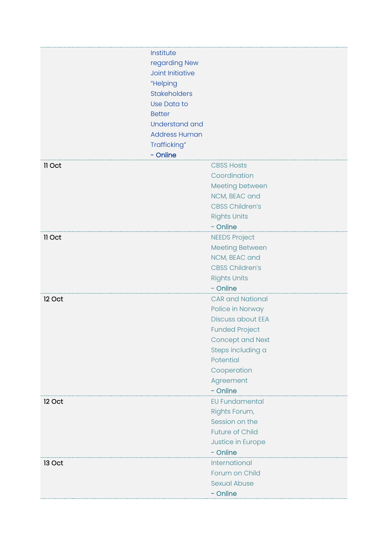|        | Institute<br>regarding New<br><b>Joint Initiative</b><br>"Helping<br><b>Stakeholders</b><br>Use Data to<br><b>Better</b><br><b>Understand and</b><br><b>Address Human</b><br>Trafficking"<br>- Online |                                                                                                                                                                                                       |
|--------|-------------------------------------------------------------------------------------------------------------------------------------------------------------------------------------------------------|-------------------------------------------------------------------------------------------------------------------------------------------------------------------------------------------------------|
| 11 Oct |                                                                                                                                                                                                       | <b>CBSS Hosts</b><br>Coordination<br>Meeting between<br>NCM, BEAC and<br><b>CBSS Children's</b><br><b>Rights Units</b><br>- Online                                                                    |
| 11 Oct |                                                                                                                                                                                                       | <b>NEEDS Project</b><br><b>Meeting Between</b><br>NCM, BEAC and<br><b>CBSS Children's</b><br><b>Rights Units</b><br>- Online                                                                          |
| 12 Oct |                                                                                                                                                                                                       | <b>CAR and National</b><br>Police in Norway<br><b>Discuss about EEA</b><br><b>Funded Project</b><br><b>Concept and Next</b><br>Steps including a<br>Potential<br>Cooperation<br>Agreement<br>- Online |
| 12 Oct |                                                                                                                                                                                                       | <b>EU Fundamental</b><br>Rights Forum,<br>Session on the<br><b>Future of Child</b><br>Justice in Europe<br>- Online                                                                                   |
| 13 Oct |                                                                                                                                                                                                       | International<br>Forum on Child<br><b>Sexual Abuse</b><br>- Online                                                                                                                                    |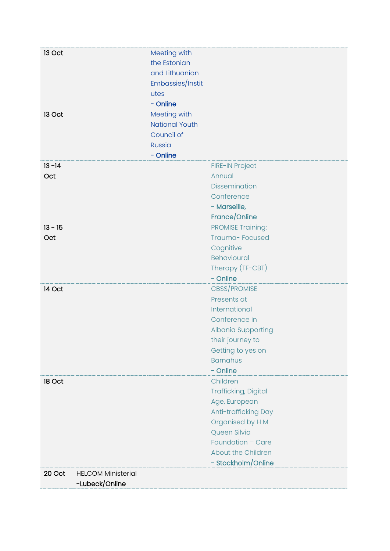| 13 Oct                   | Meeting with<br>the Estonian<br>and Lithuanian<br>Embassies/Instit        |                                                                                                                                                                                |
|--------------------------|---------------------------------------------------------------------------|--------------------------------------------------------------------------------------------------------------------------------------------------------------------------------|
|                          | utes<br>- Online                                                          |                                                                                                                                                                                |
| 13 Oct                   | Meeting with<br><b>National Youth</b><br>Council of<br>Russia<br>- Online |                                                                                                                                                                                |
| $13 - 14$<br>Oct         |                                                                           | <b>FIRE-IN Project</b><br>Annual<br>Dissemination<br>Conference<br>- Marseille,<br>France/Online                                                                               |
| $13 - 15$<br>Oct         |                                                                           | <b>PROMISE Training:</b><br>Trauma-Focused<br>Cognitive<br><b>Behavioural</b><br>Therapy (TF-CBT)<br>- Online                                                                  |
| 14 Oct                   |                                                                           | CBSS/PROMISE<br>Presents at<br>International<br>Conference in<br>Albania Supporting<br>their journey to<br>Getting to yes on<br><b>Barnahus</b><br>- Online                    |
| 18 Oct                   |                                                                           | Children<br>Trafficking, Digital<br>Age, European<br>Anti-trafficking Day<br>Organised by H M<br>Queen Silvia<br>Foundation - Care<br>About the Children<br>- Stockholm/Online |
| 20 Oct<br>-Lubeck/Online | <b>HELCOM Ministerial</b>                                                 |                                                                                                                                                                                |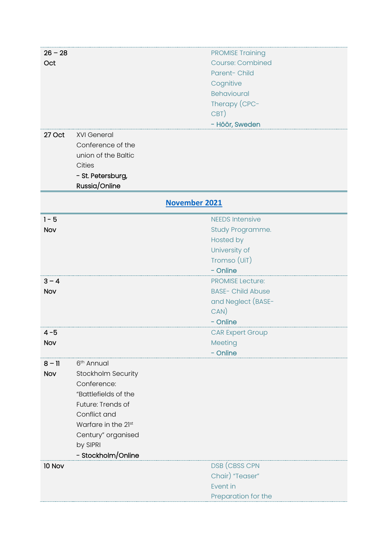<span id="page-16-0"></span>

| $26 - 28$ |                        | <b>PROMISE Training</b>  |
|-----------|------------------------|--------------------------|
| Oct       |                        | <b>Course: Combined</b>  |
|           |                        | Parent-Child             |
|           |                        | Cognitive                |
|           |                        | <b>Behavioural</b>       |
|           |                        | Therapy (CPC-            |
|           |                        | CBT)                     |
|           |                        | - Höör, Sweden           |
| 27 Oct    | <b>XVI General</b>     |                          |
|           | Conference of the      |                          |
|           | union of the Baltic    |                          |
|           | Cities                 |                          |
|           | - St. Petersburg,      |                          |
|           | Russia/Online          |                          |
|           |                        | November 2021            |
| $1 - 5$   |                        | <b>NEEDS Intensive</b>   |
|           |                        |                          |
| Nov       |                        | Study Programme.         |
|           |                        | Hosted by                |
|           |                        | University of            |
|           |                        | Tromso (UiT)             |
|           |                        | - Online                 |
| $3 - 4$   |                        | <b>PROMISE Lecture:</b>  |
| Nov       |                        | <b>BASE- Child Abuse</b> |
|           |                        | and Neglect (BASE-       |
|           |                        | CAN)                     |
|           |                        | - Online                 |
| $4 - 5$   |                        | <b>CAR Expert Group</b>  |
| Nov       |                        | Meeting                  |
|           |                        | - Online                 |
| $8 - 11$  | 6 <sup>th</sup> Annual |                          |
| Nov       | Stockholm Security     |                          |
|           | Conference:            |                          |
|           | "Battlefields of the   |                          |
|           | Future: Trends of      |                          |
|           | Conflict and           |                          |
|           | Warfare in the 21st    |                          |
|           | Century" organised     |                          |
|           | by SIPRI               |                          |
|           | - Stockholm/Online     |                          |
| 10 Nov    |                        | DSB (CBSS CPN            |
|           |                        | Chair) "Teaser"          |
|           |                        | Event in                 |
|           |                        | Preparation for the      |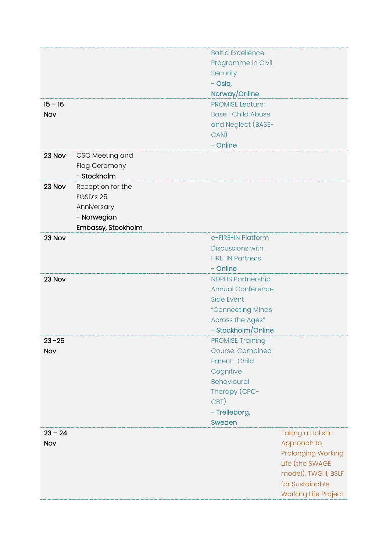|           |                    | <b>Baltic Excellence</b> |                             |
|-----------|--------------------|--------------------------|-----------------------------|
|           |                    | Programme in Civil       |                             |
|           |                    | Security                 |                             |
|           |                    | - Oslo,                  |                             |
|           |                    | Norway/Online            |                             |
| $15 - 16$ |                    | <b>PROMISE Lecture:</b>  |                             |
| Nov       |                    | <b>Base- Child Abuse</b> |                             |
|           |                    | and Neglect (BASE-       |                             |
|           |                    | CAN)                     |                             |
|           |                    | - Online                 |                             |
| 23 Nov    | CSO Meeting and    |                          |                             |
|           | Flag Ceremony      |                          |                             |
|           | - Stockholm        |                          |                             |
| 23 Nov    | Reception for the  |                          |                             |
|           | EGSD's 25          |                          |                             |
|           | Anniversary        |                          |                             |
|           | - Norwegian        |                          |                             |
|           | Embassy, Stockholm |                          |                             |
| 23 Nov    |                    | e-FIRE-IN Platform       |                             |
|           |                    | Discussions with         |                             |
|           |                    | <b>FIRE-IN Partners</b>  |                             |
|           |                    | - Online                 |                             |
| 23 Nov    |                    | <b>NDPHS Partnership</b> |                             |
|           |                    | <b>Annual Conference</b> |                             |
|           |                    | <b>Side Event</b>        |                             |
|           |                    | "Connecting Minds        |                             |
|           |                    | Across the Ages"         |                             |
|           |                    | - Stockholm/Online       |                             |
| $23 - 25$ |                    | <b>PROMISE Training</b>  |                             |
| Nov       |                    | <b>Course: Combined</b>  |                             |
|           |                    | Parent- Child            |                             |
|           |                    | Cognitive                |                             |
|           |                    | <b>Behavioural</b>       |                             |
|           |                    | Therapy (CPC-            |                             |
|           |                    | CBT)                     |                             |
|           |                    | - Trelleborg,            |                             |
|           |                    | Sweden                   |                             |
| $23 - 24$ |                    |                          | <b>Taking a Holistic</b>    |
| Nov       |                    |                          | Approach to                 |
|           |                    |                          | <b>Prolonging Working</b>   |
|           |                    |                          | Life (the SWAGE             |
|           |                    |                          | model), TWG II, BSLF        |
|           |                    |                          | for Sustainable             |
|           |                    |                          | <b>Working Life Project</b> |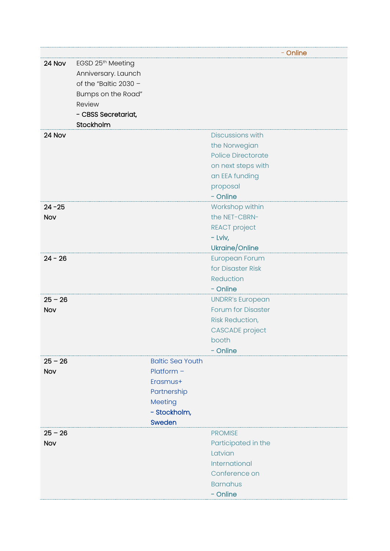|            |                                                                                                                                         |                         |                           | - Online |
|------------|-----------------------------------------------------------------------------------------------------------------------------------------|-------------------------|---------------------------|----------|
| 24 Nov     | EGSD 25th Meeting<br>Anniversary. Launch<br>of the "Baltic $2030 -$<br>Bumps on the Road"<br>Review<br>- CBSS Secretariat,<br>Stockholm |                         |                           |          |
| 24 Nov     |                                                                                                                                         |                         | <b>Discussions with</b>   |          |
|            |                                                                                                                                         |                         | the Norwegian             |          |
|            |                                                                                                                                         |                         | <b>Police Directorate</b> |          |
|            |                                                                                                                                         |                         | on next steps with        |          |
|            |                                                                                                                                         |                         | an EEA funding            |          |
|            |                                                                                                                                         |                         | proposal                  |          |
|            |                                                                                                                                         |                         | - Online                  |          |
| $24 - 25$  |                                                                                                                                         |                         | Workshop within           |          |
| Nov        |                                                                                                                                         |                         | the NET-CBRN-             |          |
|            |                                                                                                                                         |                         | <b>REACT</b> project      |          |
|            |                                                                                                                                         |                         | $-$ Lviv,                 |          |
|            |                                                                                                                                         |                         | Ukraine/Online            |          |
| $24 - 26$  |                                                                                                                                         |                         | European Forum            |          |
|            |                                                                                                                                         |                         | for Disaster Risk         |          |
|            |                                                                                                                                         |                         | Reduction                 |          |
|            |                                                                                                                                         |                         | - Online                  |          |
| $25 - 26$  |                                                                                                                                         |                         | <b>UNDRR's European</b>   |          |
| Nov        |                                                                                                                                         |                         | <b>Forum for Disaster</b> |          |
|            |                                                                                                                                         |                         | <b>Risk Reduction,</b>    |          |
|            |                                                                                                                                         |                         | <b>CASCADE</b> project    |          |
|            |                                                                                                                                         |                         | booth                     |          |
| $25 - 26$  |                                                                                                                                         | <b>Baltic Sea Youth</b> | - Online                  |          |
| Nov        |                                                                                                                                         | $Platform -$            |                           |          |
|            |                                                                                                                                         | Erasmus+                |                           |          |
|            |                                                                                                                                         | Partnership             |                           |          |
|            |                                                                                                                                         | Meeting                 |                           |          |
|            |                                                                                                                                         | - Stockholm,            |                           |          |
|            |                                                                                                                                         | Sweden                  |                           |          |
| $25 - 26$  |                                                                                                                                         |                         | <b>PROMISE</b>            |          |
| <b>Nov</b> |                                                                                                                                         |                         | Participated in the       |          |
|            |                                                                                                                                         |                         | Latvian                   |          |
|            |                                                                                                                                         |                         | International             |          |
|            |                                                                                                                                         |                         | Conference on             |          |
|            |                                                                                                                                         |                         | <b>Barnahus</b>           |          |
|            |                                                                                                                                         |                         | - Online                  |          |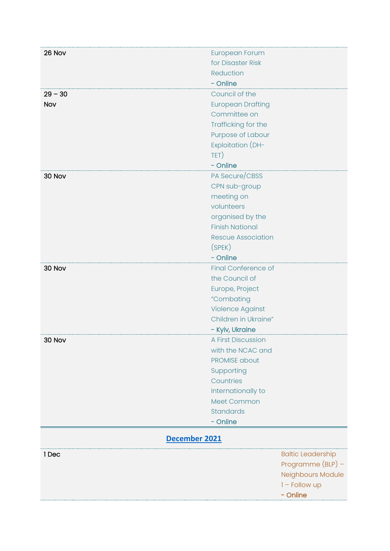<span id="page-19-0"></span>

| 26 Nov        | <b>European Forum</b>      |                          |
|---------------|----------------------------|--------------------------|
|               | for Disaster Risk          |                          |
|               | Reduction                  |                          |
|               | - Online                   |                          |
| $29 - 30$     | Council of the             |                          |
| Nov           | <b>European Drafting</b>   |                          |
|               | Committee on               |                          |
|               | Trafficking for the        |                          |
|               | Purpose of Labour          |                          |
|               | <b>Exploitation (DH-</b>   |                          |
|               | TET)                       |                          |
|               | - Online                   |                          |
| 30 Nov        | PA Secure/CBSS             |                          |
|               | CPN sub-group              |                          |
|               | meeting on                 |                          |
|               | volunteers                 |                          |
|               | organised by the           |                          |
|               | <b>Finish National</b>     |                          |
|               | <b>Rescue Association</b>  |                          |
|               | (SPEK)                     |                          |
|               | - Online                   |                          |
| 30 Nov        | <b>Final Conference of</b> |                          |
|               | the Council of             |                          |
|               | Europe, Project            |                          |
|               | "Combating                 |                          |
|               | <b>Violence Against</b>    |                          |
|               | Children in Ukraine"       |                          |
|               | - Kyiv, Ukraine            |                          |
|               | A First Discussion         |                          |
| 30 Nov        | with the NCAC and          |                          |
|               |                            |                          |
|               | <b>PROMISE about</b>       |                          |
|               | Supporting                 |                          |
|               | Countries                  |                          |
|               | Internationally to         |                          |
|               | Meet Common                |                          |
|               | <b>Standards</b>           |                          |
|               | - Online                   |                          |
| December 2021 |                            |                          |
| 1 Dec         |                            | <b>Baltic Leadership</b> |
|               |                            | Programme $(BLP)$ –      |
|               |                            | Neighbours Module        |
|               |                            | $1 -$ Follow up          |
|               |                            | - Online                 |
|               |                            |                          |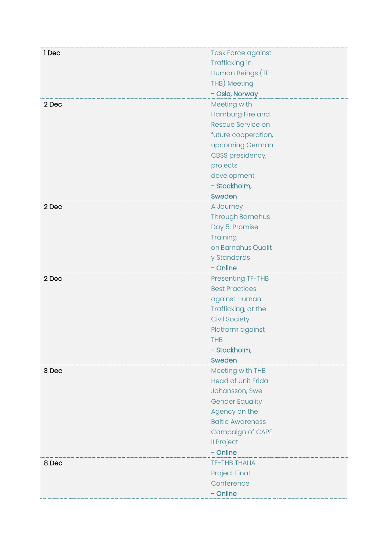| 1 Dec | <b>Task Force against</b> |
|-------|---------------------------|
|       | Trafficking in            |
|       | Human Beings (TF-         |
|       | THB) Meeting              |
|       | - Oslo, Norway            |
| 2 Dec | Meeting with              |
|       | Hamburg Fire and          |
|       | Rescue Service on         |
|       | future cooperation,       |
|       | upcoming German           |
|       | CBSS presidency,          |
|       | projects                  |
|       | development               |
|       | - Stockholm,              |
|       | Sweden                    |
| 2 Dec | A Journey                 |
|       | <b>Through Barnahus</b>   |
|       | Day 5, Promise            |
|       | Training                  |
|       | on Barnahus Qualit        |
|       | y Standards               |
|       | - Online                  |
| 2 Dec | <b>Presenting TF-THB</b>  |
|       | <b>Best Practices</b>     |
|       | against Human             |
|       | Trafficking, at the       |
|       | <b>Civil Society</b>      |
|       | Platform against          |
|       | <b>THB</b>                |
|       | - Stockholm,              |
|       | Sweden                    |
| 3 Dec | Meeting with THB          |
|       | <b>Head of Unit Frida</b> |
|       | Johansson, Swe            |
|       | <b>Gender Equality</b>    |
|       | Agency on the             |
|       | <b>Baltic Awareness</b>   |
|       | Campaign of CAPE          |
|       | <b>Il Project</b>         |
|       | - Online                  |
| 8 Dec | <b>TF-THB THALIA</b>      |
|       | <b>Project Final</b>      |
|       | Conference                |
|       | - Online                  |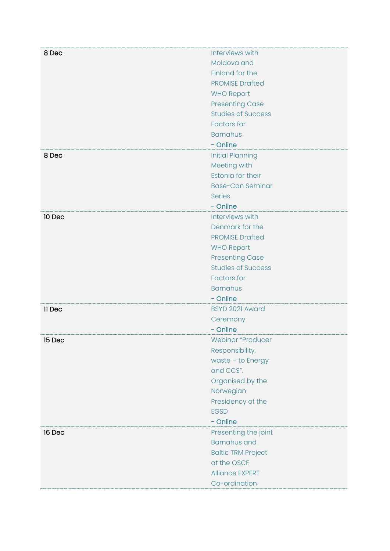| 8 Dec  | Interviews with           |
|--------|---------------------------|
|        | Moldova and               |
|        | Finland for the           |
|        | <b>PROMISE Drafted</b>    |
|        | <b>WHO Report</b>         |
|        | <b>Presenting Case</b>    |
|        | <b>Studies of Success</b> |
|        | <b>Factors</b> for        |
|        | <b>Barnahus</b>           |
|        | - Online                  |
| 8 Dec  | <b>Initial Planning</b>   |
|        | Meeting with              |
|        | Estonia for their         |
|        | <b>Base-Can Seminar</b>   |
|        | <b>Series</b>             |
|        | - Online                  |
| 10 Dec | Interviews with           |
|        | Denmark for the           |
|        | <b>PROMISE Drafted</b>    |
|        | <b>WHO Report</b>         |
|        | <b>Presenting Case</b>    |
|        | <b>Studies of Success</b> |
|        | <b>Factors</b> for        |
|        | <b>Barnahus</b>           |
|        | - Online                  |
| 11 Dec | BSYD 2021 Award           |
|        | Ceremony                  |
|        | - Online                  |
| 15 Dec | Webinar "Producer         |
|        | Responsibility,           |
|        | waste - to Energy         |
|        | and CCS".                 |
|        | Organised by the          |
|        | Norwegian                 |
|        | Presidency of the         |
|        | <b>EGSD</b>               |
|        | - Online                  |
| 16 Dec | Presenting the joint      |
|        | <b>Barnahus and</b>       |
|        | <b>Baltic TRM Project</b> |
|        | at the OSCE               |
|        | <b>Alliance EXPERT</b>    |
|        | Co-ordination             |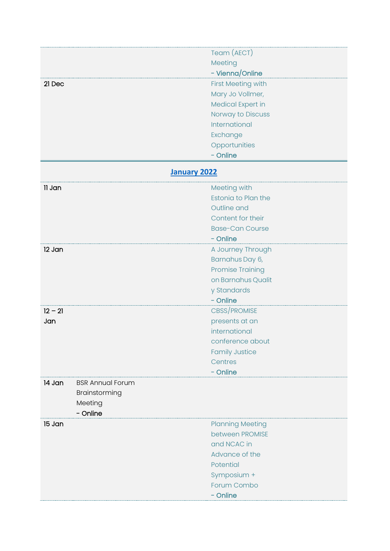<span id="page-22-0"></span>

| Meeting<br>- Vienna/Online<br>First Meeting with<br>21 Dec<br>Mary Jo Vollmer,<br>Medical Expert in<br>Norway to Discuss<br>International<br>Exchange<br>Opportunities<br>- Online<br><b>January 2022</b><br>Meeting with<br>11 Jan<br><b>Estonia to Plan the</b><br>Outline and<br>Content for their<br><b>Base-Can Course</b><br>- Online<br>12 Jan<br>A Journey Through<br>Barnahus Day 6,<br><b>Promise Training</b><br>on Barnahus Qualit<br>y Standards<br>- Online<br>CBSS/PROMISE<br>$12 - 21$<br>presents at an<br>Jan<br>international<br>conference about<br><b>Family Justice</b><br>Centres<br>- Online<br>14 Jan<br><b>BSR Annual Forum</b><br>Brainstorming<br>Meeting<br>- Online<br>15 Jan<br><b>Planning Meeting</b> |  |             |
|----------------------------------------------------------------------------------------------------------------------------------------------------------------------------------------------------------------------------------------------------------------------------------------------------------------------------------------------------------------------------------------------------------------------------------------------------------------------------------------------------------------------------------------------------------------------------------------------------------------------------------------------------------------------------------------------------------------------------------------|--|-------------|
|                                                                                                                                                                                                                                                                                                                                                                                                                                                                                                                                                                                                                                                                                                                                        |  | Team (AECT) |
|                                                                                                                                                                                                                                                                                                                                                                                                                                                                                                                                                                                                                                                                                                                                        |  |             |
|                                                                                                                                                                                                                                                                                                                                                                                                                                                                                                                                                                                                                                                                                                                                        |  |             |
|                                                                                                                                                                                                                                                                                                                                                                                                                                                                                                                                                                                                                                                                                                                                        |  |             |
|                                                                                                                                                                                                                                                                                                                                                                                                                                                                                                                                                                                                                                                                                                                                        |  |             |
|                                                                                                                                                                                                                                                                                                                                                                                                                                                                                                                                                                                                                                                                                                                                        |  |             |
|                                                                                                                                                                                                                                                                                                                                                                                                                                                                                                                                                                                                                                                                                                                                        |  |             |
|                                                                                                                                                                                                                                                                                                                                                                                                                                                                                                                                                                                                                                                                                                                                        |  |             |
|                                                                                                                                                                                                                                                                                                                                                                                                                                                                                                                                                                                                                                                                                                                                        |  |             |
|                                                                                                                                                                                                                                                                                                                                                                                                                                                                                                                                                                                                                                                                                                                                        |  |             |
|                                                                                                                                                                                                                                                                                                                                                                                                                                                                                                                                                                                                                                                                                                                                        |  |             |
|                                                                                                                                                                                                                                                                                                                                                                                                                                                                                                                                                                                                                                                                                                                                        |  |             |
|                                                                                                                                                                                                                                                                                                                                                                                                                                                                                                                                                                                                                                                                                                                                        |  |             |
|                                                                                                                                                                                                                                                                                                                                                                                                                                                                                                                                                                                                                                                                                                                                        |  |             |
|                                                                                                                                                                                                                                                                                                                                                                                                                                                                                                                                                                                                                                                                                                                                        |  |             |
|                                                                                                                                                                                                                                                                                                                                                                                                                                                                                                                                                                                                                                                                                                                                        |  |             |
|                                                                                                                                                                                                                                                                                                                                                                                                                                                                                                                                                                                                                                                                                                                                        |  |             |
|                                                                                                                                                                                                                                                                                                                                                                                                                                                                                                                                                                                                                                                                                                                                        |  |             |
|                                                                                                                                                                                                                                                                                                                                                                                                                                                                                                                                                                                                                                                                                                                                        |  |             |
|                                                                                                                                                                                                                                                                                                                                                                                                                                                                                                                                                                                                                                                                                                                                        |  |             |
|                                                                                                                                                                                                                                                                                                                                                                                                                                                                                                                                                                                                                                                                                                                                        |  |             |
|                                                                                                                                                                                                                                                                                                                                                                                                                                                                                                                                                                                                                                                                                                                                        |  |             |
|                                                                                                                                                                                                                                                                                                                                                                                                                                                                                                                                                                                                                                                                                                                                        |  |             |
|                                                                                                                                                                                                                                                                                                                                                                                                                                                                                                                                                                                                                                                                                                                                        |  |             |
|                                                                                                                                                                                                                                                                                                                                                                                                                                                                                                                                                                                                                                                                                                                                        |  |             |
|                                                                                                                                                                                                                                                                                                                                                                                                                                                                                                                                                                                                                                                                                                                                        |  |             |
|                                                                                                                                                                                                                                                                                                                                                                                                                                                                                                                                                                                                                                                                                                                                        |  |             |
|                                                                                                                                                                                                                                                                                                                                                                                                                                                                                                                                                                                                                                                                                                                                        |  |             |
|                                                                                                                                                                                                                                                                                                                                                                                                                                                                                                                                                                                                                                                                                                                                        |  |             |
|                                                                                                                                                                                                                                                                                                                                                                                                                                                                                                                                                                                                                                                                                                                                        |  |             |
|                                                                                                                                                                                                                                                                                                                                                                                                                                                                                                                                                                                                                                                                                                                                        |  |             |
|                                                                                                                                                                                                                                                                                                                                                                                                                                                                                                                                                                                                                                                                                                                                        |  |             |
|                                                                                                                                                                                                                                                                                                                                                                                                                                                                                                                                                                                                                                                                                                                                        |  |             |
|                                                                                                                                                                                                                                                                                                                                                                                                                                                                                                                                                                                                                                                                                                                                        |  |             |
|                                                                                                                                                                                                                                                                                                                                                                                                                                                                                                                                                                                                                                                                                                                                        |  |             |
|                                                                                                                                                                                                                                                                                                                                                                                                                                                                                                                                                                                                                                                                                                                                        |  |             |
|                                                                                                                                                                                                                                                                                                                                                                                                                                                                                                                                                                                                                                                                                                                                        |  |             |
|                                                                                                                                                                                                                                                                                                                                                                                                                                                                                                                                                                                                                                                                                                                                        |  |             |
| between PROMISE                                                                                                                                                                                                                                                                                                                                                                                                                                                                                                                                                                                                                                                                                                                        |  |             |
| and NCAC in                                                                                                                                                                                                                                                                                                                                                                                                                                                                                                                                                                                                                                                                                                                            |  |             |
| Advance of the                                                                                                                                                                                                                                                                                                                                                                                                                                                                                                                                                                                                                                                                                                                         |  |             |
| Potential                                                                                                                                                                                                                                                                                                                                                                                                                                                                                                                                                                                                                                                                                                                              |  |             |
| Symposium +                                                                                                                                                                                                                                                                                                                                                                                                                                                                                                                                                                                                                                                                                                                            |  |             |
| Forum Combo                                                                                                                                                                                                                                                                                                                                                                                                                                                                                                                                                                                                                                                                                                                            |  |             |
| - Online                                                                                                                                                                                                                                                                                                                                                                                                                                                                                                                                                                                                                                                                                                                               |  |             |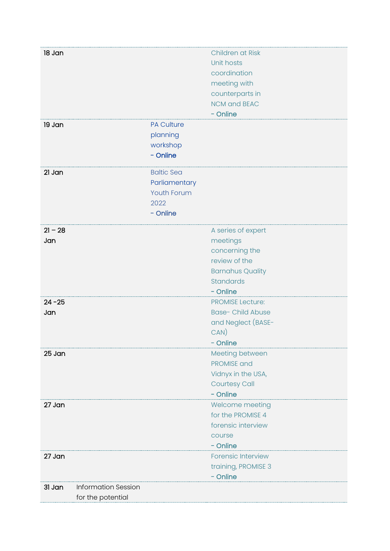| 18 Jan                               |                    | Children at Risk          |
|--------------------------------------|--------------------|---------------------------|
|                                      |                    | Unit hosts                |
|                                      |                    | coordination              |
|                                      |                    | meeting with              |
|                                      |                    | counterparts in           |
|                                      |                    | <b>NCM and BEAC</b>       |
|                                      |                    | - Online                  |
| 19 Jan                               | <b>PA Culture</b>  |                           |
|                                      | planning           |                           |
|                                      | workshop           |                           |
|                                      | - Online           |                           |
| 21 Jan                               | <b>Baltic Sea</b>  |                           |
|                                      | Parliamentary      |                           |
|                                      | <b>Youth Forum</b> |                           |
|                                      | 2022               |                           |
|                                      | - Online           |                           |
| $21 - 28$                            |                    | A series of expert        |
| Jan                                  |                    | meetings                  |
|                                      |                    | concerning the            |
|                                      |                    | review of the             |
|                                      |                    | <b>Barnahus Quality</b>   |
|                                      |                    | <b>Standards</b>          |
|                                      |                    | - Online                  |
| $24 - 25$                            |                    | <b>PROMISE Lecture:</b>   |
| Jan                                  |                    | <b>Base-Child Abuse</b>   |
|                                      |                    | and Neglect (BASE-        |
|                                      |                    | $CAN$ )                   |
|                                      |                    | - Online                  |
| 25 Jan                               |                    | Meeting between           |
|                                      |                    | <b>PROMISE and</b>        |
|                                      |                    | Vidnyx in the USA,        |
|                                      |                    | <b>Courtesy Call</b>      |
|                                      |                    | - Online                  |
| 27 Jan                               |                    | Welcome meeting           |
|                                      |                    | for the PROMISE 4         |
|                                      |                    | forensic interview        |
|                                      |                    | course                    |
|                                      |                    | - Online                  |
| 27 Jan                               |                    | <b>Forensic Interview</b> |
|                                      |                    | training, PROMISE 3       |
|                                      |                    | - Online                  |
| <b>Information Session</b><br>31 Jan |                    |                           |
| for the potential                    |                    |                           |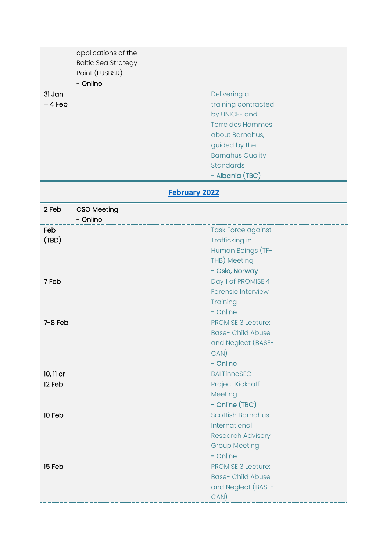<span id="page-24-0"></span>

| 31 Jan    | applications of the<br><b>Baltic Sea Strategy</b><br>Point (EUSBSR)<br>- Online | Delivering a                                     |
|-----------|---------------------------------------------------------------------------------|--------------------------------------------------|
| $-4$ Feb  |                                                                                 | training contracted<br>by UNICEF and             |
|           |                                                                                 | <b>Terre des Hommes</b>                          |
|           |                                                                                 | about Barnahus,                                  |
|           |                                                                                 | guided by the                                    |
|           |                                                                                 | <b>Barnahus Quality</b>                          |
|           |                                                                                 | <b>Standards</b>                                 |
|           |                                                                                 | - Albania (TBC)                                  |
|           |                                                                                 | <b>February 2022</b>                             |
| 2 Feb     | <b>CSO Meeting</b><br>- Online                                                  |                                                  |
| Feb       |                                                                                 | <b>Task Force against</b>                        |
| (TBD)     |                                                                                 | Trafficking in                                   |
|           |                                                                                 | Human Beings (TF-<br>THB) Meeting                |
|           |                                                                                 | - Oslo, Norway                                   |
| 7 Feb     |                                                                                 | Day 1 of PROMISE 4                               |
|           |                                                                                 | <b>Forensic Interview</b>                        |
|           |                                                                                 | Training                                         |
|           |                                                                                 | - Online                                         |
| $7-8$ Feb |                                                                                 | <b>PROMISE 3 Lecture:</b>                        |
|           |                                                                                 | <b>Base-Child Abuse</b>                          |
|           |                                                                                 | and Neglect (BASE-                               |
|           |                                                                                 | $CAN$ )                                          |
|           |                                                                                 | - Online                                         |
| 10, 11 or |                                                                                 | <b>BALTinnoSEC</b>                               |
| 12 Feb    |                                                                                 | Project Kick-off                                 |
|           |                                                                                 | Meeting                                          |
|           |                                                                                 | - Online (TBC)                                   |
| 10 Feb    |                                                                                 | <b>Scottish Barnahus</b><br>International        |
|           |                                                                                 |                                                  |
|           |                                                                                 | <b>Research Advisory</b><br><b>Group Meeting</b> |
|           |                                                                                 | - Online                                         |
| 15 Feb    |                                                                                 | <b>PROMISE 3 Lecture:</b>                        |
|           |                                                                                 | <b>Base- Child Abuse</b>                         |
|           |                                                                                 | and Neglect (BASE-                               |
|           |                                                                                 | $CAN$ )                                          |
|           |                                                                                 |                                                  |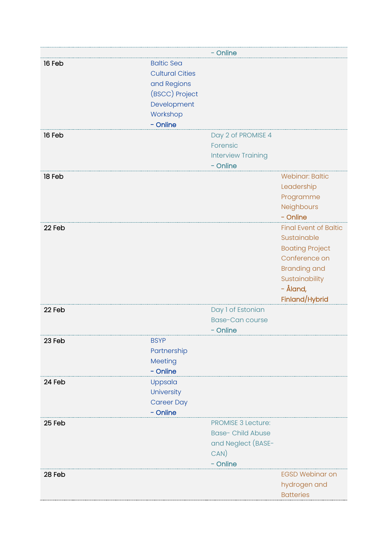|        |                        | - Online                  |                              |
|--------|------------------------|---------------------------|------------------------------|
| 16 Feb | <b>Baltic Sea</b>      |                           |                              |
|        | <b>Cultural Cities</b> |                           |                              |
|        | and Regions            |                           |                              |
|        | (BSCC) Project         |                           |                              |
|        | Development            |                           |                              |
|        | Workshop               |                           |                              |
|        | - Online               |                           |                              |
| 16 Feb |                        | Day 2 of PROMISE 4        |                              |
|        |                        | Forensic                  |                              |
|        |                        | <b>Interview Training</b> |                              |
|        |                        | - Online                  |                              |
| 18 Feb |                        |                           | <b>Webinar: Baltic</b>       |
|        |                        |                           | Leadership                   |
|        |                        |                           | Programme                    |
|        |                        |                           | Neighbours                   |
|        |                        |                           | - Online                     |
| 22 Feb |                        |                           | <b>Final Event of Baltic</b> |
|        |                        |                           | Sustainable                  |
|        |                        |                           | <b>Boating Project</b>       |
|        |                        |                           | Conference on                |
|        |                        |                           | <b>Branding and</b>          |
|        |                        |                           | Sustainability               |
|        |                        |                           | - Åland,                     |
|        |                        |                           | Finland/Hybrid               |
| 22 Feb |                        | Day 1 of Estonian         |                              |
|        |                        | <b>Base-Can course</b>    |                              |
|        |                        | - Online                  |                              |
| 23 Feb | <b>BSYP</b>            |                           |                              |
|        | Partnership            |                           |                              |
|        | Meeting                |                           |                              |
|        | - Online               |                           |                              |
| 24 Feb | Uppsala                |                           |                              |
|        | University             |                           |                              |
|        | <b>Career Day</b>      |                           |                              |
|        | - Online               |                           |                              |
| 25 Feb |                        | <b>PROMISE 3 Lecture:</b> |                              |
|        |                        | <b>Base- Child Abuse</b>  |                              |
|        |                        | and Neglect (BASE-        |                              |
|        |                        | CAN)                      |                              |
|        |                        | - Online                  |                              |
| 28 Feb |                        |                           | <b>EGSD Webinar on</b>       |
|        |                        |                           | hydrogen and                 |
|        |                        |                           | <b>Batteries</b>             |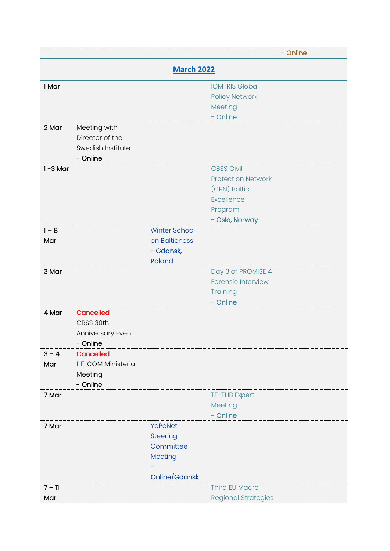<span id="page-26-0"></span>

|             |                           |                      | - Online                                        |  |
|-------------|---------------------------|----------------------|-------------------------------------------------|--|
|             | <b>March 2022</b>         |                      |                                                 |  |
| 1 Mar       |                           |                      | <b>IOM IRIS Global</b>                          |  |
|             |                           |                      | <b>Policy Network</b>                           |  |
|             |                           |                      | Meeting                                         |  |
|             |                           |                      | - Online                                        |  |
| 2 Mar       | Meeting with              |                      |                                                 |  |
|             | Director of the           |                      |                                                 |  |
|             | Swedish Institute         |                      |                                                 |  |
|             | - Online                  |                      |                                                 |  |
| $1 - 3$ Mar |                           |                      | <b>CBSS Civil</b>                               |  |
|             |                           |                      | <b>Protection Network</b>                       |  |
|             |                           |                      | (CPN) Baltic                                    |  |
|             |                           |                      | Excellence                                      |  |
|             |                           |                      | Program                                         |  |
|             |                           |                      | - Oslo, Norway                                  |  |
| $1 - 8$     |                           | <b>Winter School</b> |                                                 |  |
| Mar         |                           | on Balticness        |                                                 |  |
|             |                           | - Gdansk,            |                                                 |  |
| 3 Mar       |                           | Poland               |                                                 |  |
|             |                           |                      | Day 3 of PROMISE 4<br><b>Forensic Interview</b> |  |
|             |                           |                      | Training                                        |  |
|             |                           |                      | - Online                                        |  |
| 4 Mar       | <b>Cancelled</b>          |                      |                                                 |  |
|             | CBSS 30th                 |                      |                                                 |  |
|             | Anniversary Event         |                      |                                                 |  |
|             | - Online                  |                      |                                                 |  |
| $3 - 4$     | <b>Cancelled</b>          |                      |                                                 |  |
| Mar         | <b>HELCOM Ministerial</b> |                      |                                                 |  |
|             | Meeting                   |                      |                                                 |  |
|             | - Online                  |                      |                                                 |  |
| 7 Mar       |                           |                      | TF-THB Expert                                   |  |
|             |                           |                      | Meeting                                         |  |
|             |                           |                      | - Online                                        |  |
| 7 Mar       |                           | YoPeNet              |                                                 |  |
|             |                           | <b>Steering</b>      |                                                 |  |
|             |                           | Committee            |                                                 |  |
|             |                           | Meeting              |                                                 |  |
|             |                           |                      |                                                 |  |
|             |                           | Online/Gdansk        |                                                 |  |
| $7 - 11$    |                           |                      | Third EU Macro-                                 |  |
| Mar         |                           |                      | <b>Regional Strategies</b>                      |  |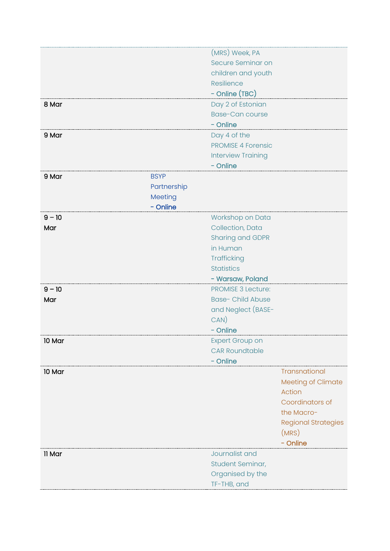|          |             | (MRS) Week, PA            |                            |
|----------|-------------|---------------------------|----------------------------|
|          |             | Secure Seminar on         |                            |
|          |             | children and youth        |                            |
|          |             | Resilience                |                            |
|          |             | - Online (TBC)            |                            |
| 8 Mar    |             | Day 2 of Estonian         |                            |
|          |             | <b>Base-Can course</b>    |                            |
|          |             | - Online                  |                            |
| 9 Mar    |             | Day 4 of the              |                            |
|          |             | <b>PROMISE 4 Forensic</b> |                            |
|          |             | <b>Interview Training</b> |                            |
|          |             | - Online                  |                            |
| 9 Mar    | <b>BSYP</b> |                           |                            |
|          | Partnership |                           |                            |
|          | Meeting     |                           |                            |
|          | - Online    |                           |                            |
| $9 - 10$ |             | Workshop on Data          |                            |
| Mar      |             | Collection, Data          |                            |
|          |             | <b>Sharing and GDPR</b>   |                            |
|          |             | in Human                  |                            |
|          |             | Trafficking               |                            |
|          |             | <b>Statistics</b>         |                            |
|          |             | - Warsaw, Poland          |                            |
| $9 - 10$ |             | <b>PROMISE 3 Lecture:</b> |                            |
| Mar      |             | <b>Base-Child Abuse</b>   |                            |
|          |             | and Neglect (BASE-        |                            |
|          |             | CAN)                      |                            |
|          |             | - Online                  |                            |
| 10 Mar   |             | <b>Expert Group on</b>    |                            |
|          |             | <b>CAR Roundtable</b>     |                            |
|          |             | - Online                  |                            |
| 10 Mar   |             |                           | Transnational              |
|          |             |                           | Meeting of Climate         |
|          |             |                           | Action                     |
|          |             |                           | Coordinators of            |
|          |             |                           | the Macro-                 |
|          |             |                           | <b>Regional Strategies</b> |
|          |             |                           | (MRS)                      |
|          |             |                           | - Online                   |
| 11 Mar   |             | Journalist and            |                            |
|          |             | Student Seminar,          |                            |
|          |             | Organised by the          |                            |
|          |             | TF-THB, and               |                            |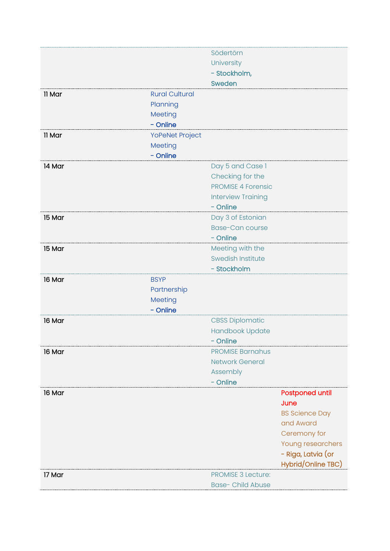|        |                       | Södertörn                 |                        |
|--------|-----------------------|---------------------------|------------------------|
|        |                       | University                |                        |
|        |                       | - Stockholm,              |                        |
|        |                       | Sweden                    |                        |
| 11 Mar | <b>Rural Cultural</b> |                           |                        |
|        | Planning              |                           |                        |
|        | Meeting               |                           |                        |
|        | - Online              |                           |                        |
| 11 Mar | YoPeNet Project       |                           |                        |
|        | Meeting               |                           |                        |
|        | - Online              |                           |                        |
| 14 Mar |                       | Day 5 and Case 1          |                        |
|        |                       | Checking for the          |                        |
|        |                       | <b>PROMISE 4 Forensic</b> |                        |
|        |                       | <b>Interview Training</b> |                        |
|        |                       | - Online                  |                        |
| 15 Mar |                       | Day 3 of Estonian         |                        |
|        |                       | <b>Base-Can course</b>    |                        |
|        |                       | - Online                  |                        |
| 15 Mar |                       | Meeting with the          |                        |
|        |                       | <b>Swedish Institute</b>  |                        |
|        |                       | - Stockholm               |                        |
| 16 Mar | <b>BSYP</b>           |                           |                        |
|        | Partnership           |                           |                        |
|        | Meeting               |                           |                        |
|        | - Online              |                           |                        |
| 16 Mar |                       | <b>CBSS Diplomatic</b>    |                        |
|        |                       | <b>Handbook Update</b>    |                        |
|        |                       | - Online                  |                        |
| 16 Mar |                       | <b>PROMISE Barnahus</b>   |                        |
|        |                       | <b>Network General</b>    |                        |
|        |                       | Assembly                  |                        |
|        |                       | - Online                  |                        |
| 16 Mar |                       |                           | <b>Postponed until</b> |
|        |                       |                           | June                   |
|        |                       |                           | <b>BS Science Day</b>  |
|        |                       |                           | and Award              |
|        |                       |                           | Ceremony for           |
|        |                       |                           | Young researchers      |
|        |                       |                           | - Riga, Latvia (or     |
|        |                       |                           | Hybrid/Online TBC)     |
| 17 Mar |                       | <b>PROMISE 3 Lecture:</b> |                        |
|        |                       | <b>Base- Child Abuse</b>  |                        |
|        |                       |                           |                        |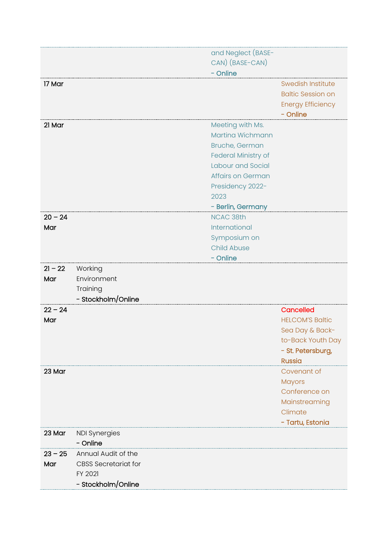|           |                             | and Neglect (BASE-  |                                |
|-----------|-----------------------------|---------------------|--------------------------------|
|           |                             | CAN) (BASE-CAN)     |                                |
|           |                             | - Online            |                                |
| 17 Mar    |                             |                     | <b>Swedish Institute</b>       |
|           |                             |                     | <b>Baltic Session on</b>       |
|           |                             |                     | <b>Energy Efficiency</b>       |
|           |                             |                     | - Online                       |
| 21 Mar    |                             | Meeting with Ms.    |                                |
|           |                             | Martina Wichmann    |                                |
|           |                             | Bruche, German      |                                |
|           |                             | Federal Ministry of |                                |
|           |                             | Labour and Social   |                                |
|           |                             | Affairs on German   |                                |
|           |                             |                     |                                |
|           |                             | Presidency 2022-    |                                |
|           |                             | 2023                |                                |
|           |                             | - Berlin, Germany   |                                |
| $20 - 24$ |                             | <b>NCAC 38th</b>    |                                |
| Mar       |                             | International       |                                |
|           |                             | Symposium on        |                                |
|           |                             | <b>Child Abuse</b>  |                                |
|           |                             | - Online            |                                |
| $21 - 22$ | Working                     |                     |                                |
| Mar       | Environment                 |                     |                                |
|           | Training                    |                     |                                |
|           | - Stockholm/Online          |                     |                                |
| $22 - 24$ |                             |                     | Cancelled                      |
| Mar       |                             |                     | <b>HELCOM'S Baltic</b>         |
|           |                             |                     | Sea Day & Back-                |
|           |                             |                     | to-Back Youth Day              |
|           |                             |                     | - St. Petersburg,              |
|           |                             |                     | <b>Russia</b>                  |
| 23 Mar    |                             |                     | Covenant of                    |
|           |                             |                     |                                |
|           |                             |                     | <b>Mayors</b><br>Conference on |
|           |                             |                     |                                |
|           |                             |                     | Mainstreaming                  |
|           |                             |                     | Climate                        |
|           |                             |                     | - Tartu, Estonia               |
| 23 Mar    | <b>NDI Synergies</b>        |                     |                                |
|           | - Online                    |                     |                                |
| $23 - 25$ | Annual Audit of the         |                     |                                |
| Mar       | <b>CBSS Secretariat for</b> |                     |                                |
|           | FY 2021                     |                     |                                |
|           | - Stockholm/Online          |                     |                                |
|           |                             |                     |                                |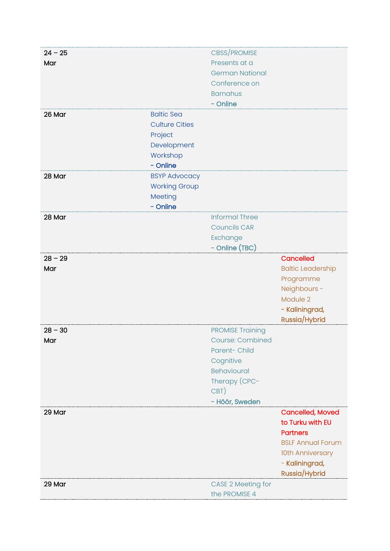| $24 - 25$ |                       | <b>CBSS/PROMISE</b>       |                          |
|-----------|-----------------------|---------------------------|--------------------------|
| Mar       |                       | Presents at a             |                          |
|           |                       | <b>German National</b>    |                          |
|           |                       | Conference on             |                          |
|           |                       | <b>Barnahus</b>           |                          |
|           |                       | - Online                  |                          |
| 26 Mar    | <b>Baltic Sea</b>     |                           |                          |
|           | <b>Culture Cities</b> |                           |                          |
|           | Project               |                           |                          |
|           | Development           |                           |                          |
|           | Workshop              |                           |                          |
|           | - Online              |                           |                          |
| 28 Mar    | <b>BSYP Advocacy</b>  |                           |                          |
|           | <b>Working Group</b>  |                           |                          |
|           | Meeting               |                           |                          |
|           | - Online              |                           |                          |
| 28 Mar    |                       | <b>Informal Three</b>     |                          |
|           |                       | <b>Councils CAR</b>       |                          |
|           |                       | Exchange                  |                          |
|           |                       | - Online (TBC)            |                          |
| $28 - 29$ |                       |                           | Cancelled                |
| Mar       |                       |                           | <b>Baltic Leadership</b> |
|           |                       |                           | Programme                |
|           |                       |                           | Neighbours -             |
|           |                       |                           | Module 2                 |
|           |                       |                           | - Kaliningrad,           |
|           |                       |                           | Russia/Hybrid            |
| $28 - 30$ |                       | <b>PROMISE Training</b>   |                          |
| Mar       |                       | <b>Course: Combined</b>   |                          |
|           |                       | Parent-Child              |                          |
|           |                       | Cognitive                 |                          |
|           |                       | Behavioural               |                          |
|           |                       | Therapy (CPC-             |                          |
|           |                       | CBT)                      |                          |
|           |                       | - Höör, Sweden            |                          |
| 29 Mar    |                       |                           | <b>Cancelled, Moved</b>  |
|           |                       |                           | to Turku with EU         |
|           |                       |                           | <b>Partners</b>          |
|           |                       |                           | <b>BSLF Annual Forum</b> |
|           |                       |                           | 10th Anniversary         |
|           |                       |                           | - Kaliningrad,           |
|           |                       |                           | Russia/Hybrid            |
| 29 Mar    |                       | <b>CASE 2 Meeting for</b> |                          |
|           |                       | the PROMISE 4             |                          |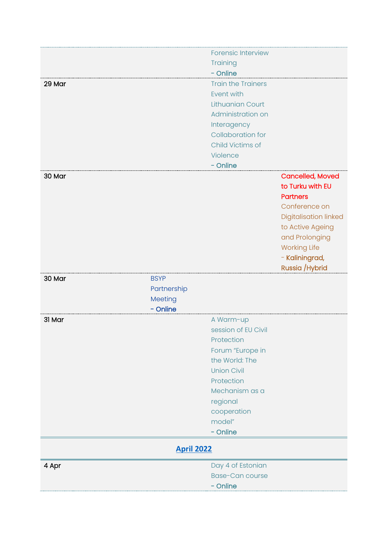<span id="page-31-0"></span>

|        |                   | <b>Forensic Interview</b> |                         |
|--------|-------------------|---------------------------|-------------------------|
|        |                   | Training                  |                         |
|        |                   | - Online                  |                         |
| 29 Mar |                   | <b>Train the Trainers</b> |                         |
|        |                   | Event with                |                         |
|        |                   | <b>Lithuanian Court</b>   |                         |
|        |                   | Administration on         |                         |
|        |                   |                           |                         |
|        |                   | Interagency               |                         |
|        |                   | <b>Collaboration for</b>  |                         |
|        |                   | Child Victims of          |                         |
|        |                   | Violence                  |                         |
|        |                   | - Online                  |                         |
| 30 Mar |                   |                           | <b>Cancelled, Moved</b> |
|        |                   |                           | to Turku with EU        |
|        |                   |                           | <b>Partners</b>         |
|        |                   |                           | Conference on           |
|        |                   |                           |                         |
|        |                   |                           | Digitalisation linked   |
|        |                   |                           | to Active Ageing        |
|        |                   |                           | and Prolonging          |
|        |                   |                           | <b>Working Life</b>     |
|        |                   |                           | - Kaliningrad,          |
|        |                   |                           | Russia / Hybrid         |
| 30 Mar | <b>BSYP</b>       |                           |                         |
|        | Partnership       |                           |                         |
|        | Meeting           |                           |                         |
|        | - Online          |                           |                         |
|        |                   |                           |                         |
| 31 Mar |                   | A Warm-up                 |                         |
|        |                   | session of EU Civil       |                         |
|        |                   | Protection                |                         |
|        |                   | Forum "Europe in          |                         |
|        |                   | the World: The            |                         |
|        |                   | <b>Union Civil</b>        |                         |
|        |                   | Protection                |                         |
|        |                   | Mechanism as a            |                         |
|        |                   | regional                  |                         |
|        |                   |                           |                         |
|        |                   | cooperation               |                         |
|        |                   | model"                    |                         |
|        |                   | - Online                  |                         |
|        | <b>April 2022</b> |                           |                         |
| 4 Apr  |                   | Day 4 of Estonian         |                         |
|        |                   | <b>Base-Can course</b>    |                         |
|        |                   | - Online                  |                         |
|        |                   |                           |                         |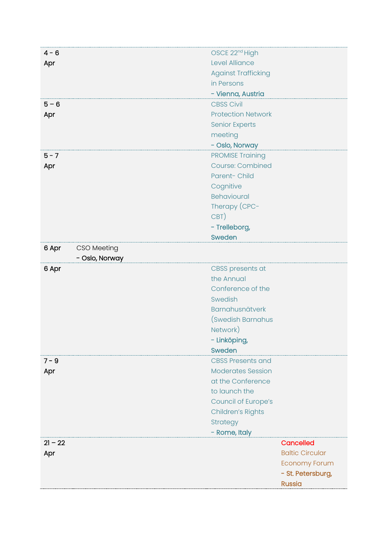| $4 - 6$              | OSCE 22 <sup>nd</sup> High |                        |
|----------------------|----------------------------|------------------------|
| Apr                  | Level Alliance             |                        |
|                      | <b>Against Trafficking</b> |                        |
|                      | in Persons                 |                        |
|                      | - Vienna, Austria          |                        |
| $5 - 6$              | <b>CBSS Civil</b>          |                        |
| Apr                  | <b>Protection Network</b>  |                        |
|                      | <b>Senior Experts</b>      |                        |
|                      | meeting                    |                        |
|                      | - Oslo, Norway             |                        |
| $5 - 7$              | <b>PROMISE Training</b>    |                        |
| Apr                  | <b>Course: Combined</b>    |                        |
|                      | Parent-Child               |                        |
|                      | Cognitive                  |                        |
|                      | <b>Behavioural</b>         |                        |
|                      | Therapy (CPC-              |                        |
|                      | CBT)                       |                        |
|                      | - Trelleborg,              |                        |
|                      | Sweden                     |                        |
| CSO Meeting<br>6 Apr |                            |                        |
| - Oslo, Norway       |                            |                        |
| 6 Apr                | CBSS presents at           |                        |
|                      | the Annual                 |                        |
|                      | Conference of the          |                        |
|                      | Swedish                    |                        |
|                      | Barnahusnätverk            |                        |
|                      | (Swedish Barnahus          |                        |
|                      | Network)                   |                        |
|                      | - Linköping,               |                        |
|                      | Sweden                     |                        |
| $7 - 9$              | <b>CBSS Presents and</b>   |                        |
| Apr                  | <b>Moderates Session</b>   |                        |
|                      | at the Conference          |                        |
|                      | to launch the              |                        |
|                      | Council of Europe's        |                        |
|                      | <b>Children's Rights</b>   |                        |
|                      | Strategy                   |                        |
|                      | - Rome, Italy              |                        |
| $21 - 22$            |                            | <b>Cancelled</b>       |
| Apr                  |                            | <b>Baltic Circular</b> |
|                      |                            | <b>Economy Forum</b>   |
|                      |                            | - St. Petersburg,      |
|                      |                            | <b>Russia</b>          |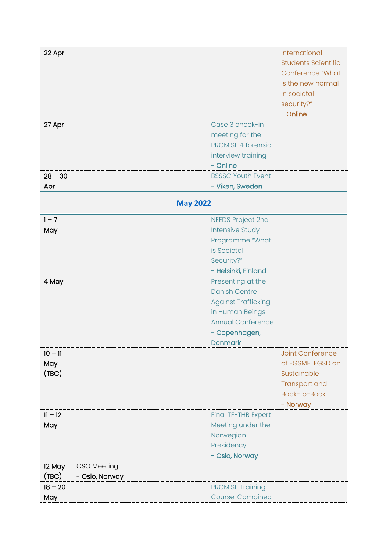<span id="page-33-0"></span>

| 22 Apr                  |                            | International              |
|-------------------------|----------------------------|----------------------------|
|                         |                            | <b>Students Scientific</b> |
|                         |                            | Conference "What           |
|                         |                            | is the new normal          |
|                         |                            |                            |
|                         |                            | in societal                |
|                         |                            | security?"                 |
|                         |                            | - Online                   |
| 27 Apr                  | Case 3 check-in            |                            |
|                         | meeting for the            |                            |
|                         | <b>PROMISE 4 forensic</b>  |                            |
|                         | interview training         |                            |
|                         | - Online                   |                            |
| $28 - 30$               | <b>BSSSC Youth Event</b>   |                            |
| Apr                     | - Viken, Sweden            |                            |
|                         |                            |                            |
| <b>May 2022</b>         |                            |                            |
| $1 - 7$                 | <b>NEEDS Project 2nd</b>   |                            |
| May                     | <b>Intensive Study</b>     |                            |
|                         | Programme "What            |                            |
|                         | is Societal                |                            |
|                         |                            |                            |
|                         | Security?"                 |                            |
|                         | - Helsinki, Finland        |                            |
| 4 May                   | Presenting at the          |                            |
|                         | <b>Danish Centre</b>       |                            |
|                         | <b>Against Trafficking</b> |                            |
|                         | in Human Beings            |                            |
|                         | <b>Annual Conference</b>   |                            |
|                         | - Copenhagen,              |                            |
|                         | <b>Denmark</b>             |                            |
| $10 - 11$               |                            | <b>Joint Conference</b>    |
| May                     |                            | of EGSME-EGSD on           |
| (TBC)                   |                            | Sustainable                |
|                         |                            |                            |
|                         |                            | Transport and              |
|                         |                            | <b>Back-to-Back</b>        |
|                         |                            | - Norway                   |
| $11 - 12$               | Final TF-THB Expert        |                            |
| May                     | Meeting under the          |                            |
|                         | Norwegian                  |                            |
|                         | Presidency                 |                            |
|                         | - Oslo, Norway             |                            |
| 12 May<br>CSO Meeting   |                            |                            |
| (TBC)<br>- Oslo, Norway |                            |                            |
| $18 - 20$               | <b>PROMISE Training</b>    |                            |
| May                     | <b>Course: Combined</b>    |                            |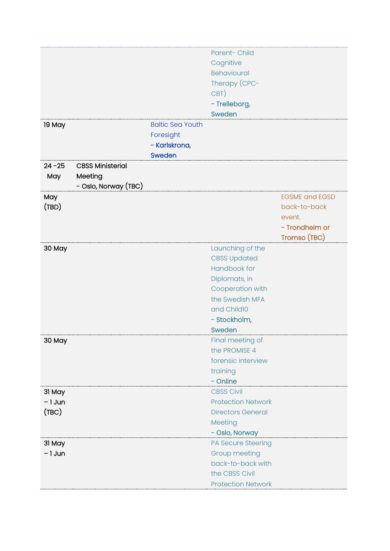|           |                         |                         | Parent-Child              |                       |
|-----------|-------------------------|-------------------------|---------------------------|-----------------------|
|           |                         |                         | Cognitive                 |                       |
|           |                         |                         | <b>Behavioural</b>        |                       |
|           |                         |                         | Therapy (CPC-             |                       |
|           |                         |                         | CBT)                      |                       |
|           |                         |                         | - Trelleborg,             |                       |
|           |                         |                         | <b>Sweden</b>             |                       |
| 19 May    |                         | <b>Baltic Sea Youth</b> |                           |                       |
|           |                         | Foresight               |                           |                       |
|           |                         |                         |                           |                       |
|           |                         | - Karlskrona,           |                           |                       |
| $24 - 25$ |                         | Sweden                  |                           |                       |
|           | <b>CBSS Ministerial</b> |                         |                           |                       |
| May       | Meeting                 |                         |                           |                       |
|           | - Oslo, Norway (TBC)    |                         |                           |                       |
| May       |                         |                         |                           | <b>EGSME and EGSD</b> |
| (TBD)     |                         |                         |                           | back-to-back          |
|           |                         |                         |                           | event.                |
|           |                         |                         |                           | - Trondheim or        |
|           |                         |                         |                           | Tromso (TBC)          |
| 30 May    |                         |                         | Launching of the          |                       |
|           |                         |                         | <b>CBSS Updated</b>       |                       |
|           |                         |                         | Handbook for              |                       |
|           |                         |                         | Diplomats, in             |                       |
|           |                         |                         | Cooperation with          |                       |
|           |                         |                         | the Swedish MFA           |                       |
|           |                         |                         | and Child10               |                       |
|           |                         |                         | - Stockholm,              |                       |
|           |                         |                         | Sweden                    |                       |
| 30 May    |                         |                         | Final meeting of          |                       |
|           |                         |                         | the PROMISE 4             |                       |
|           |                         |                         | forensic interview        |                       |
|           |                         |                         | training                  |                       |
|           |                         |                         | - Online                  |                       |
| 31 May    |                         |                         | <b>CBSS Civil</b>         |                       |
| $-1$ Jun  |                         |                         | <b>Protection Network</b> |                       |
| (TBC)     |                         |                         | <b>Directors General</b>  |                       |
|           |                         |                         | Meeting                   |                       |
|           |                         |                         | - Oslo, Norway            |                       |
|           |                         |                         |                           |                       |
| 31 May    |                         |                         | PA Secure Steering        |                       |
| $-1$ Jun  |                         |                         | Group meeting             |                       |
|           |                         |                         | back-to-back with         |                       |
|           |                         |                         | the CBSS Civil            |                       |
|           |                         |                         | <b>Protection Network</b> |                       |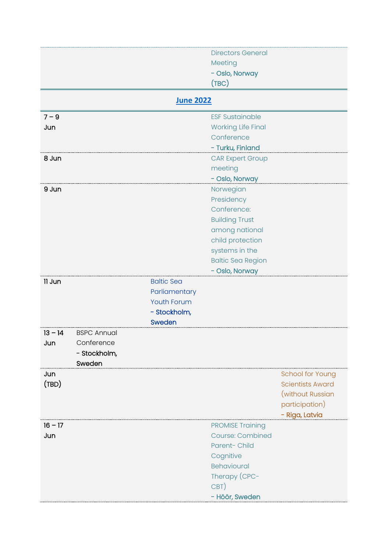<span id="page-35-0"></span>

|           |                    |                    | <b>Directors General</b>  |                         |
|-----------|--------------------|--------------------|---------------------------|-------------------------|
|           |                    |                    | Meeting                   |                         |
|           |                    |                    | - Oslo, Norway            |                         |
|           |                    |                    | (TBC)                     |                         |
|           |                    |                    |                           |                         |
|           |                    | <b>June 2022</b>   |                           |                         |
| $7 - 9$   |                    |                    | <b>ESF Sustainable</b>    |                         |
| Jun       |                    |                    | <b>Working Life Final</b> |                         |
|           |                    |                    | Conference                |                         |
|           |                    |                    | - Turku, Finland          |                         |
| 8 Jun     |                    |                    | <b>CAR Expert Group</b>   |                         |
|           |                    |                    | meeting                   |                         |
|           |                    |                    | - Oslo, Norway            |                         |
| 9 Jun     |                    |                    | Norwegian                 |                         |
|           |                    |                    | Presidency                |                         |
|           |                    |                    | Conference:               |                         |
|           |                    |                    |                           |                         |
|           |                    |                    | <b>Building Trust</b>     |                         |
|           |                    |                    | among national            |                         |
|           |                    |                    | child protection          |                         |
|           |                    |                    | systems in the            |                         |
|           |                    |                    | <b>Baltic Sea Region</b>  |                         |
|           |                    |                    | - Oslo, Norway            |                         |
| 11 Jun    |                    | <b>Baltic Sea</b>  |                           |                         |
|           |                    | Parliamentary      |                           |                         |
|           |                    | <b>Youth Forum</b> |                           |                         |
|           |                    | - Stockholm,       |                           |                         |
|           |                    | Sweden             |                           |                         |
| $13 - 14$ | <b>BSPC Annual</b> |                    |                           |                         |
| Jun       | Conference         |                    |                           |                         |
|           |                    |                    |                           |                         |
|           | - Stockholm,       |                    |                           |                         |
|           | Sweden             |                    |                           |                         |
| Jun       |                    |                    |                           | School for Young        |
| (TBD)     |                    |                    |                           | <b>Scientists Award</b> |
|           |                    |                    |                           | (without Russian        |
|           |                    |                    |                           | participation)          |
|           |                    |                    |                           | - Riga, Latvia          |
| $16 - 17$ |                    |                    | <b>PROMISE Training</b>   |                         |
| Jun       |                    |                    | <b>Course: Combined</b>   |                         |
|           |                    |                    | Parent-Child              |                         |
|           |                    |                    | Cognitive                 |                         |
|           |                    |                    | <b>Behavioural</b>        |                         |
|           |                    |                    |                           |                         |
|           |                    |                    | Therapy (CPC-             |                         |
|           |                    |                    | CBT)                      |                         |
|           |                    |                    | - Höör, Sweden            |                         |